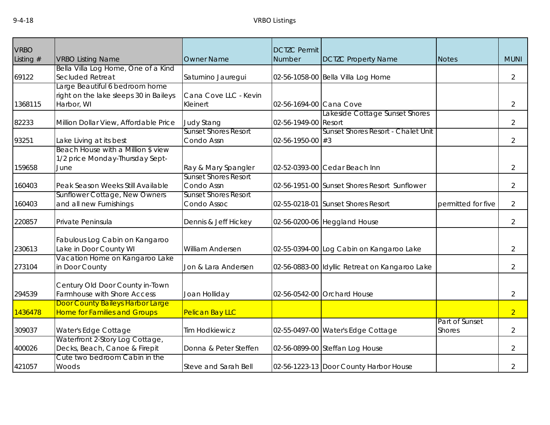| <b>VRBO</b> |                                                                                        |                                            | <b>DCTZC Permit</b>      |                                                |                                 |                |
|-------------|----------------------------------------------------------------------------------------|--------------------------------------------|--------------------------|------------------------------------------------|---------------------------------|----------------|
| Listing $#$ | <b>VRBO Listing Name</b>                                                               | <b>Owner Name</b>                          | Number                   | <b>DCTZC Property Name</b>                     | <b>Notes</b>                    | <b>MUNI</b>    |
| 69122       | Bella Villa Log Home, One of a Kind<br>Secluded Retreat                                | Saturnino Jauregui                         |                          | 02-56-1058-00 Bella Villa Log Home             |                                 | $\overline{2}$ |
| 1368115     | Large Beautiful 6 bedroom home<br>right on the lake sleeps 30 in Baileys<br>Harbor, WI | Cana Cove LLC - Kevin<br>Kleinert          | 02-56-1694-00 Cana Cove  |                                                |                                 | 2              |
| 82233       | Million Dollar View, Affordable Price                                                  | <b>Judy Stang</b>                          | 02-56-1949-00 Resort     | Lakeside Cottage Sunset Shores                 |                                 | 2              |
| 93251       | Lake Living at its best                                                                | <b>Sunset Shores Resort</b><br>Condo Assn  | $02 - 56 - 1950 - 00$ #3 | Sunset Shores Resort - Chalet Unit             |                                 | 2              |
| 159658      | Beach House with a Million \$ view<br>1/2 price Monday-Thursday Sept-<br>June          | Ray & Mary Spangler                        |                          | 02-52-0393-00 Cedar Beach Inn                  |                                 | $\overline{2}$ |
| 160403      | Peak Season Weeks Still Available                                                      | <b>Sunset Shores Resort</b><br>Condo Assn  |                          | 02-56-1951-00 Sunset Shores Resort Sunflower   |                                 | $\overline{2}$ |
| 160403      | Sunflower Cottage, New Owners<br>and all new Furnishings                               | <b>Sunset Shores Resort</b><br>Condo Assoc |                          | 02-55-0218-01 Sunset Shores Resort             | permitted for five              | $\overline{2}$ |
| 220857      | Private Peninsula                                                                      | Dennis & Jeff Hickey                       |                          | 02-56-0200-06 Heggland House                   |                                 | $\overline{2}$ |
| 230613      | Fabulous Log Cabin on Kangaroo<br>Lake in Door County WI                               | William Andersen                           |                          | 02-55-0394-00 Log Cabin on Kangaroo Lake       |                                 | $\overline{2}$ |
| 273104      | Vacation Home on Kangaroo Lake<br>in Door County                                       | Jon & Lara Andersen                        |                          | 02-56-0883-00 Idyllic Retreat on Kangaroo Lake |                                 | $\overline{2}$ |
| 294539      | Century Old Door County in-Town<br>Farmhouse with Shore Access                         | Joan Holliday                              |                          | 02-56-0542-00 Orchard House                    |                                 | $\overline{2}$ |
| 1436478     | Door County Baileys Harbor Large<br><b>Home for Families and Groups</b>                | Pelican Bay LLC                            |                          |                                                |                                 | $\overline{2}$ |
| 309037      | Water's Edge Cottage                                                                   | <b>Tim Hodkiewicz</b>                      |                          | 02-55-0497-00 Water's Edge Cottage             | Part of Sunset<br><b>Shores</b> | $\overline{2}$ |
| 400026      | Waterfront 2-Story Log Cottage,<br>Decks, Beach, Canoe & Firepit                       | Donna & Peter Steffen                      |                          | 02-56-0899-00 Steffan Log House                |                                 | 2              |
| 421057      | Cute two bedroom Cabin in the<br>Woods                                                 | Steve and Sarah Bell                       |                          | 02-56-1223-13 Door County Harbor House         |                                 | 2              |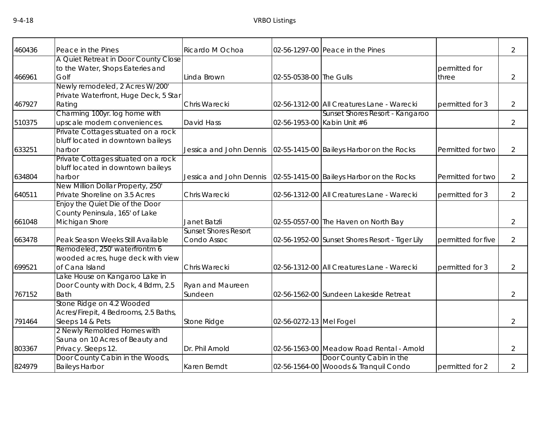| 460436 | Peace in the Pines                          | Ricardo M Ochoa             |                             | 02-56-1297-00 Peace in the Pines                                    |                    | 2              |
|--------|---------------------------------------------|-----------------------------|-----------------------------|---------------------------------------------------------------------|--------------------|----------------|
|        | A Quiet Retreat in Door County Close        |                             |                             |                                                                     |                    |                |
|        | to the Water, Shops Eateries and            |                             |                             |                                                                     | permitted for      |                |
| 466961 | Golf                                        | Linda Brown                 | 02-55-0538-00 The Gulls     |                                                                     | three              | 2              |
|        | Newly remodeled, 2 Acres W/200'             |                             |                             |                                                                     |                    |                |
|        | Private Waterfront, Huge Deck, 5 Star       |                             |                             |                                                                     |                    |                |
| 467927 | Rating                                      | Chris Warecki               |                             | 02-56-1312-00 All Creatures Lane - Warecki                          | permitted for 3    | $\overline{2}$ |
|        | Charming 100yr. log home with               |                             |                             | Sunset Shores Resort - Kangaroo                                     |                    |                |
| 510375 | upscale modern conveniences.                | David Hass                  | 02-56-1953-00 Kabin Unit #6 |                                                                     |                    | $\overline{2}$ |
|        | Private Cottages situated on a rock         |                             |                             |                                                                     |                    |                |
|        | bluff located in downtown baileys           |                             |                             |                                                                     |                    |                |
| 633251 | harbor                                      |                             |                             | Jessica and John Dennis   02-55-1415-00 Baileys Harbor on the Rocks | Permitted for two  | 2              |
|        | Private Cottages situated on a rock         |                             |                             |                                                                     |                    |                |
| 634804 | bluff located in downtown baileys<br>harbor | Jessica and John Dennis     |                             | 02-55-1415-00 Baileys Harbor on the Rocks                           | Permitted for two  | 2              |
|        | New Million Dollar Property, 250'           |                             |                             |                                                                     |                    |                |
| 640511 | Private Shoreline on 3.5 Acres              | Chris Warecki               |                             | 02-56-1312-00 All Creatures Lane - Warecki                          | permitted for 3    | 2              |
|        | Enjoy the Quiet Die of the Door             |                             |                             |                                                                     |                    |                |
|        | County Peninsula, 165' of Lake              |                             |                             |                                                                     |                    |                |
| 661048 | Michigan Shore                              | Janet Batzli                |                             | 02-55-0557-00 The Haven on North Bay                                |                    | 2              |
|        |                                             | <b>Sunset Shores Resort</b> |                             |                                                                     |                    |                |
| 663478 | Peak Season Weeks Still Available           | Condo Assoc                 |                             | 02-56-1952-00 Sunset Shores Resort - Tiger Lily                     | permitted for five | 2              |
|        | Remodeled, 250' waterfrontm 6               |                             |                             |                                                                     |                    |                |
|        | wooded acres, huge deck with view           |                             |                             |                                                                     |                    |                |
| 699521 | of Cana Island                              | Chris Warecki               |                             | 02-56-1312-00 All Creatures Lane - Warecki                          | permitted for 3    | 2              |
|        | Lake House on Kangaroo Lake in              |                             |                             |                                                                     |                    |                |
|        | Door County with Dock, 4 Bdrm, 2.5          | <b>Ryan and Maureen</b>     |                             |                                                                     |                    |                |
| 767152 | <b>Bath</b>                                 | Sundeen                     |                             | 02-56-1562-00 Sundeen Lakeside Retreat                              |                    | 2              |
|        | Stone Ridge on 4.2 Wooded                   |                             |                             |                                                                     |                    |                |
|        | Acres/Firepit, 4 Bedrooms, 2.5 Baths,       |                             |                             |                                                                     |                    |                |
| 791464 | Sleeps 14 & Pets                            | Stone Ridge                 | 02-56-0272-13 Mel Fogel     |                                                                     |                    | $\overline{2}$ |
|        | 2 Newly Remolded Homes with                 |                             |                             |                                                                     |                    |                |
|        | Sauna on 10 Acres of Beauty and             |                             |                             |                                                                     |                    |                |
| 803367 | Privacy. Sleeps 12.                         | Dr. Phil Arnold             |                             | 02-56-1563-00 Meadow Road Rental - Arnold                           |                    | 2              |
|        | Door County Cabin in the Woods,             |                             |                             | Door County Cabin in the                                            |                    |                |
| 824979 | <b>Baileys Harbor</b>                       | Karen Berndt                |                             | 02-56-1564-00 Wooods & Tranquil Condo                               | permitted for 2    | 2              |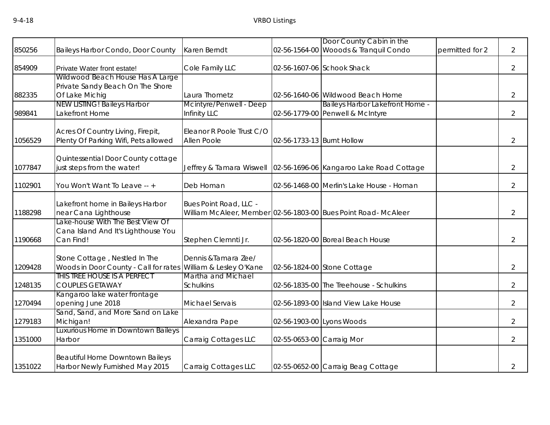|         |                                                                       |                                               |                            | Door County Cabin in the                                          |                 |                |
|---------|-----------------------------------------------------------------------|-----------------------------------------------|----------------------------|-------------------------------------------------------------------|-----------------|----------------|
| 850256  | Baileys Harbor Condo, Door County                                     | Karen Berndt                                  |                            | 02-56-1564-00 Wooods & Tranquil Condo                             | permitted for 2 | $\overline{2}$ |
| 854909  | Private Water front estate!                                           | Cole Family LLC                               |                            | 02-56-1607-06 Schook Shack                                        |                 | $\overline{2}$ |
|         | Wildwood Beach House Has A Large                                      |                                               |                            |                                                                   |                 |                |
|         | Private Sandy Beach On The Shore                                      |                                               |                            |                                                                   |                 |                |
| 882335  | Of Lake Michig                                                        | Laura Thometz                                 |                            | 02-56-1640-06 Wildwood Beach Home                                 |                 | $\overline{2}$ |
|         | <b>NEW LISTING! Baileys Harbor</b>                                    | Mcintyre/Penwell - Deep                       |                            | Baileys Harbor Lakefront Home -                                   |                 |                |
| 989841  | Lakefront Home                                                        | Infinity LLC                                  |                            | 02-56-1779-00 Penwell & McIntyre                                  |                 | $\overline{2}$ |
|         | Acres Of Country Living, Firepit,                                     | Eleanor R Poole Trust C/O                     |                            |                                                                   |                 |                |
| 1056529 | Plenty Of Parking Wifi, Pets allowed                                  | Allen Poole                                   | 02-56-1733-13 Burnt Hollow |                                                                   |                 | $\overline{2}$ |
|         |                                                                       |                                               |                            |                                                                   |                 |                |
| 1077847 | Quintessential Door County cottage<br>just steps from the water!      |                                               |                            | Jeffrey & Tamara Wiswell 02-56-1696-06 Kangaroo Lake Road Cottage |                 | $\overline{2}$ |
|         |                                                                       |                                               |                            |                                                                   |                 |                |
| 1102901 | You Won't Want To Leave -- +                                          | Deb Homan                                     |                            | 02-56-1468-00 Merlin's Lake House - Homan                         |                 | $\overline{2}$ |
|         | Lakefront home in Baileys Harbor                                      | Bues Point Road, LLC -                        |                            |                                                                   |                 |                |
| 1188298 | near Cana Lighthouse                                                  |                                               |                            | William McAleer, Member 02-56-1803-00 Bues Point Road- McAleer    |                 | $\overline{2}$ |
|         | Lake-house With The Best View Of                                      |                                               |                            |                                                                   |                 |                |
|         | Cana Island And It's Lighthouse You                                   |                                               |                            |                                                                   |                 |                |
| 1190668 | Can Find!                                                             | Stephen Clemnti Jr.                           |                            | 02-56-1820-00 Boreal Beach House                                  |                 | $\overline{2}$ |
|         |                                                                       |                                               |                            |                                                                   |                 |                |
|         | Stone Cottage, Nestled In The                                         | Dennis & Tamara Zee/                          |                            |                                                                   |                 |                |
| 1209428 | Woods in Door County - Call for rates<br>THIS TREE HOUSE IS A PERFECT | William & Lesley O'Kane<br>Martha and Michael |                            | 02-56-1824-00 Stone Cottage                                       |                 | $\overline{2}$ |
| 1248135 | <b>COUPLES GETAWAY</b>                                                | <b>Schulkins</b>                              |                            | 02-56-1835-00 The Treehouse - Schulkins                           |                 | $\overline{2}$ |
|         | Kangaroo lake water frontage                                          |                                               |                            |                                                                   |                 |                |
| 1270494 | opening June 2018                                                     | Michael Servais                               |                            | 02-56-1893-00 Island View Lake House                              |                 | $\overline{2}$ |
|         | Sand, Sand, and More Sand on Lake                                     |                                               |                            |                                                                   |                 |                |
| 1279183 | Michigan!                                                             | Alexandra Pape                                | 02-56-1903-00 Lyons Woods  |                                                                   |                 | $\overline{2}$ |
|         | Luxurious Home in Downtown Baileys                                    |                                               |                            |                                                                   |                 |                |
| 1351000 | Harbor                                                                | Carraig Cottages LLC                          | 02-55-0653-00 Carraig Mor  |                                                                   |                 | $\overline{2}$ |
|         | <b>Beautiful Home Downtown Baileys</b>                                |                                               |                            |                                                                   |                 |                |
| 1351022 | Harbor Newly Furnished May 2015                                       | Carraig Cottages LLC                          |                            | 02-55-0652-00 Carraig Beag Cottage                                |                 | $\overline{2}$ |
|         |                                                                       |                                               |                            |                                                                   |                 |                |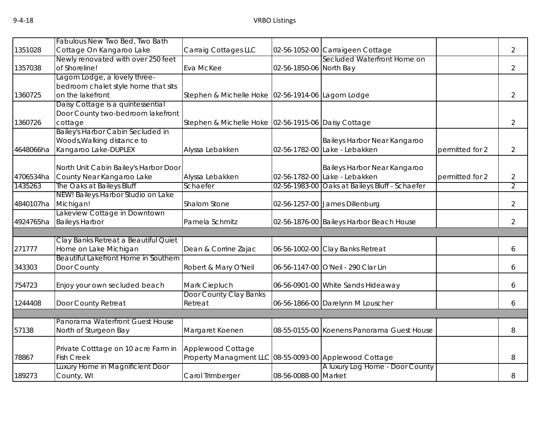|           | Fabulous New Two Bed, Two Bath                           |                                                                             |                         |                                            |                 |                |
|-----------|----------------------------------------------------------|-----------------------------------------------------------------------------|-------------------------|--------------------------------------------|-----------------|----------------|
| 1351028   | Cottage On Kangaroo Lake                                 | Carraig Cottages LLC                                                        |                         | 02-56-1052-00 Carraigeen Cottage           |                 | $\overline{2}$ |
|           | Newly renovated with over 250 feet                       |                                                                             |                         | Secluded Waterfront Home on                |                 |                |
| 1357038   | of Shoreline!                                            | Eva McKee                                                                   | 02-56-1850-06 North Bay |                                            |                 | $\overline{2}$ |
|           | agom Lodge, a lovely three-                              |                                                                             |                         |                                            |                 |                |
|           | bedroom chalet style home that sits                      |                                                                             |                         |                                            |                 |                |
| 1360725   | on the lakefront                                         | Stephen & Michelle Hoke 02-56-1914-06 Lagom Lodge                           |                         |                                            |                 | $\overline{2}$ |
|           | Daisy Cottage is a quintessential                        |                                                                             |                         |                                            |                 |                |
|           | Door County two-bedroom lakefront                        |                                                                             |                         |                                            |                 |                |
| 1360726   | cottage                                                  | Stephen & Michelle Hoke 02-56-1915-06 Daisy Cottage                         |                         |                                            |                 | $\overline{2}$ |
|           | Bailey's Harbor Cabin Secluded in                        |                                                                             |                         |                                            |                 |                |
|           | Woods, Walking distance to                               |                                                                             |                         | Baileys Harbor Near Kangaroo               |                 |                |
| 4648066ha | Kangaroo Lake-DUPLEX                                     | Alyssa Lebakken                                                             | 02-56-1782-00           | Lake - Lebakken                            | permitted for 2 | $\overline{2}$ |
|           |                                                          |                                                                             |                         |                                            |                 |                |
|           | North Unit Cabin Bailey's Harbor Door                    |                                                                             |                         | Baileys Harbor Near Kangaroo               |                 |                |
| 4706534ha | County Near Kangaroo Lake                                | Alyssa Lebakken                                                             |                         | 02-56-1782-00 Lake - Lebakken              | permitted for 2 | $\overline{2}$ |
| 1435263   | The Oaks at Baileys Bluff                                | Schaefer                                                                    | 02-56-1983-00           | Oaks at Baileys Bluff - Schaefer           |                 | 2              |
|           | NEW! Baileys Harbor Studio on Lake                       |                                                                             |                         |                                            |                 |                |
| 4840107ha | Michigan!                                                | Shalom Stone                                                                |                         | 02-56-1257-00 James Dillenburg             |                 | $\overline{2}$ |
|           | Lakeview Cottage in Downtown                             |                                                                             |                         |                                            |                 |                |
| 4924765ha | <b>Baileys Harbor</b>                                    | Pamela Schmitz                                                              |                         | 02-56-1876-00 Baileys Harbor Beach House   |                 | $\overline{2}$ |
|           |                                                          |                                                                             |                         |                                            |                 |                |
|           | Clay Banks Retreat a Beautiful Quiet                     |                                                                             |                         |                                            |                 |                |
| 271777    | Home on Lake Michigan                                    | Dean & Corrine Zajac                                                        |                         | 06-56-1002-00 Clay Banks Retreat           |                 | 6              |
|           | Beautiful Lakefront Home in Southern                     |                                                                             |                         |                                            |                 |                |
| 343303    | Door County                                              | Robert & Mary O'Neil                                                        |                         | 06-56-1147-00 O'Neil - 290 Clar Lin        |                 | 6              |
| 754723    | Enjoy your own secluded beach                            | Mark Ciepluch                                                               |                         | 06-56-0901-00 White Sands Hideaway         |                 | 6              |
|           |                                                          | Door County Clay Banks                                                      |                         |                                            |                 |                |
| 1244408   | Door County Retreat                                      | Retreat                                                                     |                         | 06-56-1866-00 Darelynn M Louscher          |                 | 6              |
|           |                                                          |                                                                             |                         |                                            |                 |                |
|           | Panorama Waterfront Guest House                          |                                                                             |                         |                                            |                 |                |
| 57138     | North of Sturgeon Bay                                    | Margaret Koenen                                                             |                         | 08-55-0155-00 Koenens Panorama Guest House |                 | 8              |
|           |                                                          |                                                                             |                         |                                            |                 |                |
| 78867     | Private Cotttage on 10 acre Farm in<br><b>Fish Creek</b> | Applewood Cottage<br>Property Managment LLC 08-55-0093-00 Applewood Cottage |                         |                                            |                 | 8              |
|           | Luxury Home in Magnificient Door                         |                                                                             |                         | A luxury Log Home - Door County            |                 |                |
| 189273    | County, WI                                               | Carol Trimberger                                                            | 08-56-0088-00 Market    |                                            |                 | 8              |
|           |                                                          |                                                                             |                         |                                            |                 |                |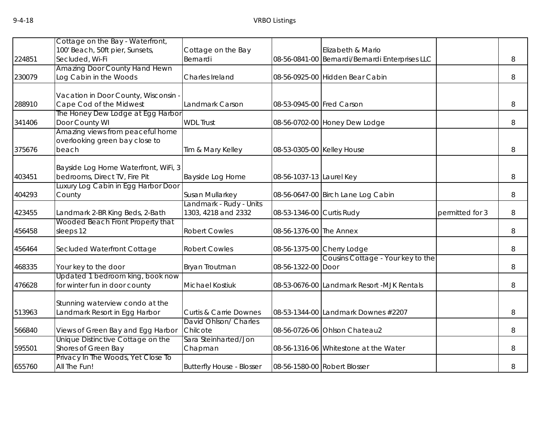|        | Cottage on the Bay - Waterfront,                                      |                                   |                            |                                                 |                 |   |
|--------|-----------------------------------------------------------------------|-----------------------------------|----------------------------|-------------------------------------------------|-----------------|---|
|        | 100' Beach, 50ft pier, Sunsets,                                       | Cottage on the Bay                |                            | Elizabeth & Mario                               |                 |   |
| 224851 | Secluded, Wi-Fi                                                       | Bernardi                          |                            | 08-56-0841-00 Bernardi/Bernardi Enterprises LLC |                 | 8 |
|        | <b>Amazing Door County Hand Hewn</b>                                  |                                   |                            |                                                 |                 |   |
| 230079 | Log Cabin in the Woods                                                | Charles Ireland                   |                            | 08-56-0925-00 Hidden Bear Cabin                 |                 | 8 |
|        | Vacation in Door County, Wisconsin ·                                  |                                   |                            |                                                 |                 |   |
| 288910 | Cape Cod of the Midwest                                               | Landmark Carson                   | 08-53-0945-00 Fred Carson  |                                                 |                 | 8 |
| 341406 | The Honey Dew Lodge at Egg Harbor<br>Door County WI                   | <b>WDL Trust</b>                  |                            |                                                 |                 |   |
|        | Amazing views from peaceful home                                      |                                   |                            | 08-56-0702-00 Honey Dew Lodge                   |                 | 8 |
|        | overlooking green bay close to                                        |                                   |                            |                                                 |                 |   |
| 375676 | beach                                                                 | Tim & Mary Kelley                 | 08-53-0305-00 Kelley House |                                                 |                 | 8 |
|        |                                                                       |                                   |                            |                                                 |                 |   |
| 403451 | Bayside Log Home Waterfront, WiFi, 3<br>bedrooms, Direct TV, Fire Pit | Bayside Log Home                  | 08-56-1037-13 Laurel Key   |                                                 |                 | 8 |
|        | Luxury Log Cabin in Egg Harbor Door                                   |                                   |                            |                                                 |                 |   |
| 404293 | County                                                                | Susan Mullarkey                   |                            | 08-56-0647-00 Birch Lane Log Cabin              |                 | 8 |
|        |                                                                       | Landmark - Rudy - Units           |                            |                                                 |                 |   |
| 423455 | Landmark 2-BR King Beds, 2-Bath                                       | 1303, 4218 and 2332               | 08-53-1346-00 Curtis Rudy  |                                                 | permitted for 3 | 8 |
|        | Wooded Beach Front Property that                                      |                                   |                            |                                                 |                 |   |
| 456458 | sleeps 12                                                             | <b>Robert Cowles</b>              | 08-56-1376-00 The Annex    |                                                 |                 | 8 |
| 456464 | Secluded Waterfront Cottage                                           | <b>Robert Cowles</b>              |                            | 08-56-1375-00 Cherry Lodge                      |                 | 8 |
|        |                                                                       |                                   |                            | Cousins Cottage - Your key to the               |                 |   |
| 468335 | Your key to the door                                                  | Bryan Troutman                    | 08-56-1322-00 Door         |                                                 |                 | 8 |
|        | Updated 1 bedroom king, book now                                      |                                   |                            |                                                 |                 |   |
| 476628 | for winter fun in door county                                         | Michael Kostiuk                   |                            | 08-53-0676-00 Landmark Resort -MJK Rentals      |                 | 8 |
|        | Stunning waterview condo at the                                       |                                   |                            |                                                 |                 |   |
| 513963 | Landmark Resort in Egg Harbor                                         | <b>Curtis &amp; Carrie Downes</b> |                            | 08-53-1344-00 Landmark Downes #2207             |                 | 8 |
|        |                                                                       | David Ohlson/ Charles             |                            |                                                 |                 |   |
| 566840 | Views of Green Bay and Egg Harbor                                     | Chilcote                          |                            | 08-56-0726-06 Ohlson Chateau2                   |                 | 8 |
|        | Unique Distinctive Cottage on the                                     | Sara Steinharted/Jon              |                            |                                                 |                 |   |
| 595501 | Shores of Green Bay                                                   | Chapman                           |                            | 08-56-1316-06 Whitestone at the Water           |                 | 8 |
| 655760 | Privacy In The Woods, Yet Close To<br>All The Fun!                    | <b>Butterfly House - Blosser</b>  |                            | 08-56-1580-00 Robert Blosser                    |                 | 8 |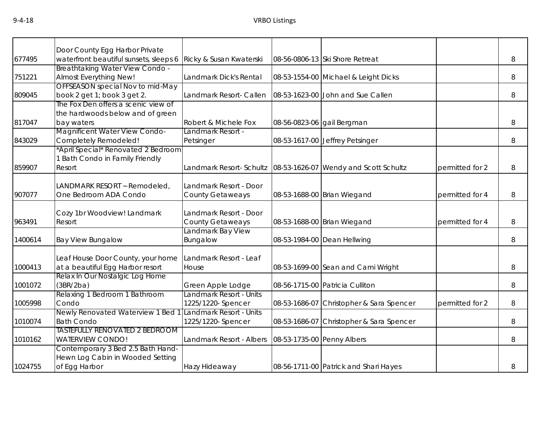|         | Door County Egg Harbor Private         |                          |                            |                                                                    |                 |   |
|---------|----------------------------------------|--------------------------|----------------------------|--------------------------------------------------------------------|-----------------|---|
| 677495  | waterfront beautiful sunsets, sleeps 6 | Ricky & Susan Kwaterski  |                            | 08-56-0806-13 Ski Shore Retreat                                    |                 | 8 |
|         | <b>Breathtaking Water View Condo -</b> |                          |                            |                                                                    |                 |   |
| 751221  | Almost Everything New!                 | Landmark Dick's Rental   |                            | 08-53-1554-00 Michael & Leight Dicks                               |                 | 8 |
|         | OFFSEASON special Nov to mid-May       |                          |                            |                                                                    |                 |   |
| 809045  | book 2 get 1; book 3 get 2.            | Landmark Resort- Callen  |                            | 08-53-1623-00 John and Sue Callen                                  |                 | 8 |
|         | The Fox Den offers a scenic view of    |                          |                            |                                                                    |                 |   |
|         | the hardwoods below and of green       |                          |                            |                                                                    |                 |   |
| 817047  | bay waters                             | Robert & Michele Fox     |                            | 08-56-0823-06 gail Bergman                                         |                 | 8 |
|         | Magnificent Water View Condo-          | Landmark Resort -        |                            |                                                                    |                 |   |
| 843029  | Completely Remodeled!                  | Petsinger                |                            | 08-53-1617-00 Jeffrey Petsinger                                    |                 | 8 |
|         | *April Special* Renovated 2 Bedroom    |                          |                            |                                                                    |                 |   |
|         | 1 Bath Condo in Family Friendly        |                          |                            |                                                                    |                 |   |
| 859907  | Resort                                 |                          |                            | Landmark Resort- Schultz   08-53-1626-07   Wendy and Scott Schultz | permitted for 2 | 8 |
|         | LANDMARK RESORT ~ Remodeled,           | Landmark Resort - Door   |                            |                                                                    |                 |   |
| 907077  | One Bedroom ADA Condo                  | <b>County Getaweays</b>  |                            | 08-53-1688-00 Brian Wiegand                                        | permitted for 4 | 8 |
|         |                                        |                          |                            |                                                                    |                 |   |
|         | Cozy 1br Woodview! Landmark            | Landmark Resort - Door   |                            |                                                                    |                 |   |
| 963491  | Resort                                 | <b>County Getaweays</b>  |                            | 08-53-1688-00 Brian Wiegand                                        | permitted for 4 | 8 |
|         |                                        | Landmark Bay View        |                            |                                                                    |                 |   |
| 1400614 | <b>Bay View Bungalow</b>               | Bungalow                 |                            | 08-53-1984-00 Dean Hellwing                                        |                 | 8 |
|         |                                        |                          |                            |                                                                    |                 |   |
|         | Leaf House Door County, your home      | Landmark Resort - Leaf   |                            |                                                                    |                 |   |
| 1000413 | at a beautiful Egg Harbor resort       | House                    |                            | 08-53-1699-00 Sean and Cami Wright                                 |                 | 8 |
|         | Relax In Our Nostalgic Log Home        |                          |                            |                                                                    |                 |   |
| 1001072 | (3BR/2ba)                              | Green Apple Lodge        |                            | 08-56-1715-00 Patricia Culliton                                    |                 | 8 |
|         | Relaxing 1 Bedroom 1 Bathroom          | Landmark Resort - Units  |                            |                                                                    |                 |   |
| 1005998 | Condo                                  | 1225/1220-Spencer        | 08-53-1686-07              | Christopher & Sara Spencer                                         | permitted for 2 | 8 |
|         | Newly Renovated Waterview 1 Bed        | Landmark Resort - Units  |                            |                                                                    |                 |   |
| 1010074 | <b>Bath Condo</b>                      | 1225/1220- Spencer       | 08-53-1686-07              | Christopher & Sara Spencer                                         |                 | 8 |
|         | <b>TASTEFULLY RENOVATED 2 BEDROOM</b>  |                          |                            |                                                                    |                 |   |
| 1010162 | <b>WATERVIEW CONDO!</b>                | Landmark Resort - Albers | 08-53-1735-00 Penny Albers |                                                                    |                 | 8 |
|         | Contemporary 3 Bed 2.5 Bath Hand-      |                          |                            |                                                                    |                 |   |
|         | Hewn Log Cabin in Wooded Setting       |                          |                            |                                                                    |                 |   |
| 1024755 | of Egg Harbor                          | Hazy Hideaway            |                            | 08-56-1711-00 Patrick and Shari Hayes                              |                 | 8 |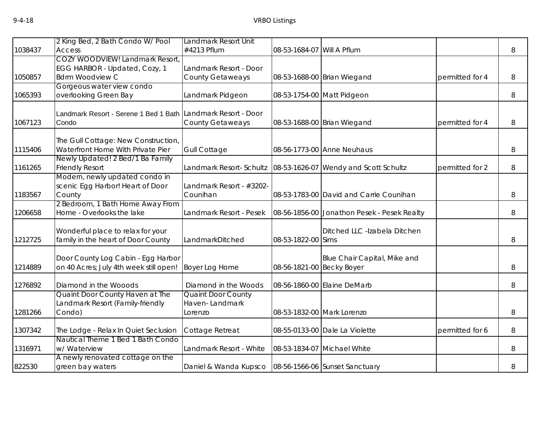|         | 2 King Bed, 2 Bath Condo W/ Pool                             | Landmark Resort Unit                                     |                            |                                             |                 |   |
|---------|--------------------------------------------------------------|----------------------------------------------------------|----------------------------|---------------------------------------------|-----------------|---|
| 1038437 | <b>Access</b>                                                | #4213 Pflum                                              | 08-53-1684-07 Will A Pflum |                                             |                 | 8 |
|         | <b>COZY WOODVIEW! Landmark Resort</b>                        |                                                          |                            |                                             |                 |   |
|         | EGG HARBOR - Updated, Cozy, 1                                | Landmark Resort - Door                                   |                            |                                             |                 |   |
| 1050857 | <b>Bdrm Woodview C</b>                                       | <b>County Getaweays</b>                                  |                            |                                             | permitted for 4 | 8 |
|         |                                                              |                                                          |                            | 08-53-1688-00 Brian Wiegand                 |                 |   |
|         | Gorgeous water view condo                                    |                                                          |                            |                                             |                 |   |
| 1065393 | overlooking Green Bay                                        | Landmark Pidgeon                                         |                            | 08-53-1754-00 Matt Pidgeon                  |                 | 8 |
|         | Landmark Resort - Serene 1 Bed 1 Bath Landmark Resort - Door |                                                          |                            |                                             |                 |   |
| 1067123 | Condo                                                        | <b>County Getaweays</b>                                  |                            | 08-53-1688-00 Brian Wiegand                 | permitted for 4 | 8 |
|         |                                                              |                                                          |                            |                                             |                 |   |
|         | The Gull Cottage: New Construction,                          |                                                          |                            |                                             |                 |   |
| 1115406 | Waterfront Home With Private Pier                            | <b>Gull Cottage</b>                                      |                            | 08-56-1773-00 Anne Neuhaus                  |                 | 8 |
|         | Newly Updated! 2 Bed/1 Ba Family                             |                                                          |                            |                                             |                 |   |
| 1161265 | <b>Friendly Resort</b>                                       | Landmark Resort- Schultz                                 |                            | 08-53-1626-07 Wendy and Scott Schultz       | permitted for 2 | 8 |
|         | Modern, newly updated condo in                               |                                                          |                            |                                             |                 |   |
|         | scenic Egg Harbor! Heart of Door                             | Landmark Resort - #3202-                                 |                            |                                             |                 |   |
| 1183567 | County                                                       | Counihan                                                 |                            | 08-53-1783-00 David and Carrie Counihan     |                 | 8 |
|         | 2 Bedroom, 1 Bath Home Away From                             |                                                          |                            |                                             |                 |   |
| 1206658 | Home - Overlooks the lake                                    | Landmark Resort - Pesek                                  |                            |                                             |                 | 8 |
|         |                                                              |                                                          |                            | 08-56-1856-00 Jonathon Pesek - Pesek Realty |                 |   |
|         |                                                              |                                                          |                            | Ditched LLC -Izabela Ditchen                |                 |   |
| 1212725 | Wonderful place to relax for your                            | LandmarkDitched                                          | 08-53-1822-00 Sims         |                                             |                 |   |
|         | family in the heart of Door County                           |                                                          |                            |                                             |                 | 8 |
|         | Door County Log Cabin - Egg Harbor                           |                                                          |                            | Blue Chair Capital, Mike and                |                 |   |
| 1214889 | on 40 Acres; July 4th week still open!                       | Boyer Log Home                                           | 08-56-1821-00 Becky Boyer  |                                             |                 | 8 |
|         |                                                              |                                                          |                            |                                             |                 |   |
| 1276892 | Diamond in the Wooods                                        | Diamond in the Woods                                     |                            | 08-56-1860-00 Elaine DeMarb                 |                 | 8 |
|         | Quaint Door County Haven at The                              | <b>Quaint Door County</b>                                |                            |                                             |                 |   |
|         | Landmark Resort (Family-friendly                             | Haven-Landmark                                           |                            |                                             |                 |   |
| 1281266 | Condo)                                                       | Lorenzo                                                  |                            | 08-53-1832-00 Mark Lorenzo                  |                 | 8 |
|         |                                                              |                                                          |                            |                                             |                 |   |
| 1307342 | The Lodge - Relax In Quiet Seclusion                         | Cottage Retreat                                          |                            | 08-55-0133-00 Dale La Violette              | permitted for 6 | 8 |
|         | Nautical Theme 1 Bed 1 Bath Condo                            |                                                          |                            |                                             |                 |   |
| 1316971 | w/ Waterview                                                 | Landmark Resort - White                                  |                            | 08-53-1834-07 Michael White                 |                 | 8 |
|         | A newly renovated cottage on the                             |                                                          |                            |                                             |                 |   |
| 822530  | green bay waters                                             | Daniel & Wanda Kupsco   08-56-1566-06   Sunset Sanctuary |                            |                                             |                 | 8 |
|         |                                                              |                                                          |                            |                                             |                 |   |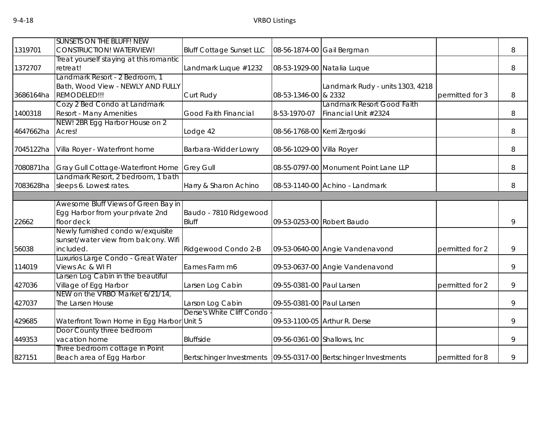|           | <b>SUNSETS ON THE BLUFF! NEW</b>          |                                 |                              |                                                                     |                 |   |
|-----------|-------------------------------------------|---------------------------------|------------------------------|---------------------------------------------------------------------|-----------------|---|
| 1319701   | <b>CONSTRUCTION! WATERVIEW!</b>           | <b>Bluff Cottage Sunset LLC</b> |                              | 08-56-1874-00 Gail Bergman                                          |                 | 8 |
|           | Treat yourself staying at this romantic   |                                 |                              |                                                                     |                 |   |
| 1372707   | retreat!                                  | Landmark Luque #1232            |                              | 08-53-1929-00 Natalia Luque                                         |                 | 8 |
|           | Landmark Resort - 2 Bedroom, 1            |                                 |                              |                                                                     |                 |   |
|           | Bath, Wood View - NEWLY AND FULLY         |                                 |                              | Landmark Rudy - units 1303, 4218                                    |                 |   |
| 3686164ha | REMODELED!!!                              | Curt Rudy                       | 08-53-1346-00                | & 2332                                                              | permitted for 3 | 8 |
|           | Cozy 2 Bed Condo at Landmark              |                                 |                              | Landmark Resort Good Faith                                          |                 |   |
| 1400318   | <b>Resort - Many Amenities</b>            | Good Faith Financial            | 8-53-1970-07                 | Financial Unit #2324                                                |                 | 8 |
|           | NEW! 2BR Egg Harbor House on 2            |                                 |                              |                                                                     |                 |   |
| 4647662ha | Acres!                                    | Lodge 42                        | 08-56-1768-00 Kerri Zergoski |                                                                     |                 | 8 |
| 7045122ha | Villa Royer - Waterfront home             | Barbara-Widder Lowry            | 08-56-1029-00 Villa Royer    |                                                                     |                 | 8 |
| 7080871ha | Gray Gull Cottage-Waterfront Home         | <b>Grey Gull</b>                |                              | 08-55-0797-00 Monument Point Lane LLP                               |                 | 8 |
|           | Landmark Resort, 2 bedroom, 1 bath        |                                 |                              |                                                                     |                 |   |
| 7083628ha | sleeps 6. Lowest rates.                   | Harry & Sharon Achino           |                              | 08-53-1140-00 Achino - Landmark                                     |                 | 8 |
|           |                                           |                                 |                              |                                                                     |                 |   |
|           | Awesome Bluff Views of Green Bay in       |                                 |                              |                                                                     |                 |   |
|           | Egg Harbor from your private 2nd          | Baudo - 7810 Ridgewood          |                              |                                                                     |                 |   |
| 22662     | floor deck                                | <b>Bluff</b>                    |                              | 09-53-0253-00 Robert Baudo                                          |                 | 9 |
|           | Newly furnished condo w/exquisite         |                                 |                              |                                                                     |                 |   |
|           | sunset/water view from balcony. Wifi      |                                 |                              |                                                                     |                 |   |
| 56038     | included.                                 | Ridgewood Condo 2-B             |                              | 09-53-0640-00 Angie Vandenavond                                     | permitted for 2 | 9 |
|           | Luxurios Large Condo - Great Water        |                                 |                              |                                                                     |                 |   |
| 114019    | Views Ac & WI FI                          | Eames Farm m6                   |                              | 09-53-0637-00 Angie Vandenavond                                     |                 | 9 |
|           | Larsen Log Cabin in the beautiful         |                                 |                              |                                                                     |                 |   |
| 427036    | Village of Egg Harbor                     | Larsen Log Cabin                | 09-55-0381-00 Paul Larsen    |                                                                     | permitted for 2 | 9 |
|           | NEW on the VRBO Market 6/21/14,           |                                 |                              |                                                                     |                 |   |
| 427037    | The Larsen House                          | Larson Log Cabin                | 09-55-0381-00 Paul Larsen    |                                                                     |                 | 9 |
|           |                                           | Derse's White Cliff Condo       |                              |                                                                     |                 |   |
| 429685    | Waterfront Town Home in Egg Harbor Unit 5 |                                 |                              | 09-53-1100-05 Arthur R. Derse                                       |                 | 9 |
|           | Door County three bedroom                 |                                 |                              |                                                                     |                 |   |
| 449353    | vacation home                             | <b>Bluffside</b>                | 09-56-0361-00 Shallows, Inc. |                                                                     |                 | 9 |
|           | Three bedroom cottage in Point            |                                 |                              |                                                                     |                 |   |
| 827151    | Beach area of Egg Harbor                  |                                 |                              | Bertschinger Investments   09-55-0317-00   Bertschinger Investments | permitted for 8 | 9 |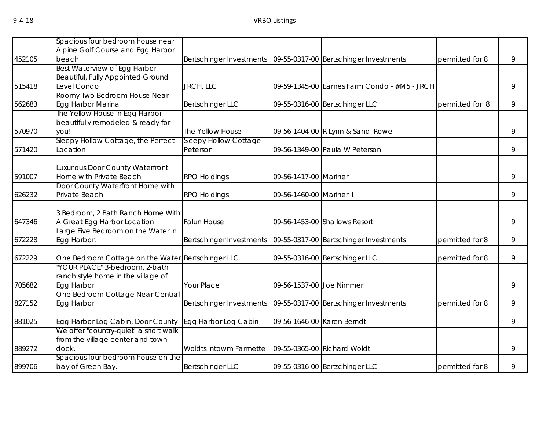|        | Spacious four bedroom house near      |                          |                            |                                             |                 |   |
|--------|---------------------------------------|--------------------------|----------------------------|---------------------------------------------|-----------------|---|
|        | Alpine Golf Course and Egg Harbor     |                          |                            |                                             |                 |   |
| 452105 | beach.                                | Bertschinger Investments |                            | 09-55-0317-00 Bertschinger Investments      | permitted for 8 | 9 |
|        | Best Waterview of Egg Harbor -        |                          |                            |                                             |                 |   |
|        | Beautiful, Fully Appointed Ground     |                          |                            |                                             |                 |   |
| 515418 | Level Condo                           | JRCH, LLC                |                            | 09-59-1345-00 Eames Farm Condo - #M5 - JRCH |                 | 9 |
|        | Roomy Two Bedroom House Near          |                          |                            |                                             |                 |   |
| 562683 | Egg Harbor Marina                     | <b>Bertschinger LLC</b>  |                            | 09-55-0316-00 Bertschinger LLC              | permitted for 8 | 9 |
|        | The Yellow House in Egg Harbor -      |                          |                            |                                             |                 |   |
|        | beautifully remodeled & ready for     |                          |                            |                                             |                 |   |
| 570970 | you!                                  | The Yellow House         |                            | 09-56-1404-00 R Lynn & Sandi Rowe           |                 | 9 |
|        | Sleepy Hollow Cottage, the Perfect    | Sleepy Hollow Cottage -  |                            |                                             |                 |   |
| 571420 | Location                              | Peterson                 |                            | 09-56-1349-00 Paula W Peterson              |                 | 9 |
|        | Luxurious Door County Waterfront      |                          |                            |                                             |                 |   |
| 591007 | Home with Private Beach               | <b>RPO Holdings</b>      | 09-56-1417-00 Mariner      |                                             |                 | 9 |
|        | Door County Waterfront Home with      |                          |                            |                                             |                 |   |
| 626232 | Private Beach                         | <b>RPO Holdings</b>      | 09-56-1460-00 Mariner II   |                                             |                 | 9 |
|        |                                       |                          |                            |                                             |                 |   |
|        | 3 Bedroom, 2 Bath Ranch Home With     |                          |                            |                                             |                 |   |
| 647346 | A Great Egg Harbor Location.          | <b>Falun House</b>       |                            | 09-56-1453-00 Shallows Resort               |                 | 9 |
|        | Large Five Bedroom on the Water in    |                          |                            |                                             |                 |   |
| 672228 | Egg Harbor.                           | Bertschinger Investments |                            | 09-55-0317-00 Bertschinger Investments      | permitted for 8 | 9 |
|        |                                       |                          |                            |                                             |                 |   |
| 672229 | One Bedroom Cottage on the Water      | <b>Bertschinger LLC</b>  |                            | 09-55-0316-00 Bertschinger LLC              | permitted for 8 | 9 |
|        | 'YOUR PLACE" 3-bedroom, 2-bath        |                          |                            |                                             |                 |   |
|        | ranch style home in the village of    |                          |                            |                                             |                 |   |
| 705682 | Egg Harbor                            | Your Place               | 09-56-1537-00 Joe Nimmer   |                                             |                 | 9 |
|        | One Bedroom Cottage Near Central      |                          |                            |                                             |                 |   |
| 827152 | Egg Harbor                            | Bertschinger Investments |                            | 09-55-0317-00 Bertschinger Investments      | permitted for 8 | 9 |
| 881025 | Egg Harbor Log Cabin, Door County     | Egg Harbor Log Cabin     | 09-56-1646-00 Karen Berndt |                                             |                 | 9 |
|        | We offer "country-quiet" a short walk |                          |                            |                                             |                 |   |
|        | from the village center and town      |                          |                            |                                             |                 |   |
| 889272 | dock.                                 | Woldts Intowm Farmette   |                            | 09-55-0365-00 Richard Woldt                 |                 | 9 |
|        | Spacious four bedroom house on the    |                          |                            |                                             |                 |   |
| 899706 | bay of Green Bay.                     | <b>Bertschinger LLC</b>  |                            | 09-55-0316-00 Bertschinger LLC              | permitted for 8 | 9 |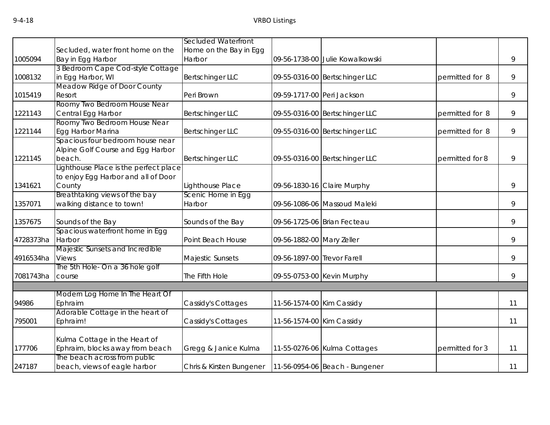|           |                                                                  | Secluded Waterfront      |                             |                                 |                 |    |
|-----------|------------------------------------------------------------------|--------------------------|-----------------------------|---------------------------------|-----------------|----|
|           | Secluded, water front home on the                                | Home on the Bay in Egg   |                             |                                 |                 |    |
| 1005094   | Bay in Egg Harbor                                                | Harbor                   |                             | 09-56-1738-00 Julie Kowalkowski |                 | 9  |
|           | 3 Bedroom Cape Cod-style Cottage                                 |                          |                             |                                 |                 |    |
| 1008132   | in Egg Harbor, WI                                                | Bertschinger LLC         |                             | 09-55-0316-00 Bertschinger LLC  | permitted for 8 | 9  |
|           | Meadow Ridge of Door County                                      |                          |                             |                                 |                 |    |
| 1015419   | Resort                                                           | Peri Brown               | 09-59-1717-00 Peri Jackson  |                                 |                 | 9  |
|           | Roomy Two Bedroom House Near                                     |                          |                             |                                 |                 |    |
| 1221143   | Central Egg Harbor                                               | <b>Bertschinger LLC</b>  |                             | 09-55-0316-00 Bertschinger LLC  | permitted for 8 | 9  |
|           | Roomy Two Bedroom House Near                                     |                          |                             |                                 |                 |    |
| 1221144   | Egg Harbor Marina                                                | Bertschinger LLC         |                             | 09-55-0316-00 Bertschinger LLC  | permitted for 8 | 9  |
|           | Spacious four bedroom house near                                 |                          |                             |                                 |                 |    |
|           | Alpine Golf Course and Egg Harbor                                |                          |                             |                                 |                 |    |
| 1221145   | beach.                                                           | <b>Bertschinger LLC</b>  |                             | 09-55-0316-00 Bertschinger LLC  | permitted for 8 | 9  |
|           | Lighthouse Place is the perfect place                            |                          |                             |                                 |                 |    |
|           | to enjoy Egg Harbor and all of Door                              |                          |                             |                                 |                 |    |
| 1341621   | County                                                           | Lighthouse Place         |                             | 09-56-1830-16 Claire Murphy     |                 | 9  |
|           | Breathtaking views of the bay                                    | Scenic Home in Egg       |                             |                                 |                 |    |
| 1357071   | walking distance to town!                                        | Harbor                   |                             | 09-56-1086-06 Massoud Maleki    |                 | 9  |
| 1357675   | Sounds of the Bay                                                | Sounds of the Bay        |                             | 09-56-1725-06 Brian Fecteau     |                 | 9  |
|           | Spacious waterfront home in Egg                                  |                          |                             |                                 |                 |    |
| 4728373ha | Harbor                                                           | Point Beach House        | 09-56-1882-00 Mary Zeller   |                                 |                 | 9  |
|           | Majestic Sunsets and Incredible                                  |                          |                             |                                 |                 |    |
| 4916534ha | Views                                                            | Majestic Sunsets         | 09-56-1897-00 Trevor Farell |                                 |                 | 9  |
|           | The 5th Hole- On a 36 hole golf                                  |                          |                             |                                 |                 |    |
| 7081743ha | course                                                           | The Fifth Hole           |                             | 09-55-0753-00 Kevin Murphy      |                 | 9  |
|           |                                                                  |                          |                             |                                 |                 |    |
|           | Modern Log Home In The Heart Of                                  |                          |                             |                                 |                 |    |
| 94986     | Ephraim                                                          | Cassidy's Cottages       | 11-56-1574-00 Kim Cassidy   |                                 |                 | 11 |
|           | Adorable Cottage in the heart of                                 |                          |                             |                                 |                 |    |
| 795001    | Ephraim!                                                         | Cassidy's Cottages       | 11-56-1574-00 Kim Cassidy   |                                 |                 | 11 |
|           |                                                                  |                          |                             |                                 |                 |    |
|           | Kulma Cottage in the Heart of<br>Ephraim, blocks away from beach |                          |                             |                                 | permitted for 3 |    |
| 177706    | The beach across from public                                     | Gregg & Janice Kulma     |                             | 11-55-0276-06 Kulma Cottages    |                 | 11 |
| 247187    | beach, views of eagle harbor                                     | Chris & Kirsten Bungener |                             | 11-56-0954-06 Beach - Bungener  |                 | 11 |
|           |                                                                  |                          |                             |                                 |                 |    |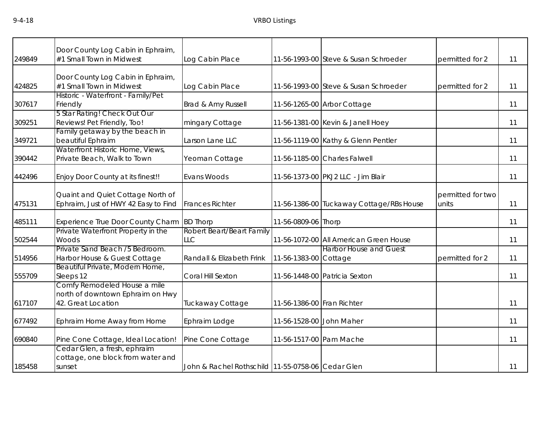| 249849 | Door County Log Cabin in Ephraim,<br>#1 Small Town in Midwest                          | Log Cabin Place                                   |                            | 11-56-1993-00 Steve & Susan Schroeder    | permitted for 2            | 11 |
|--------|----------------------------------------------------------------------------------------|---------------------------------------------------|----------------------------|------------------------------------------|----------------------------|----|
| 424825 | Door County Log Cabin in Ephraim,<br>#1 Small Town in Midwest                          | Log Cabin Place                                   |                            | 11-56-1993-00 Steve & Susan Schroeder    | permitted for 2            | 11 |
| 307617 | Historic - Waterfront - Family/Pet<br>Friendly                                         | Brad & Amy Russell                                |                            | 11-56-1265-00 Arbor Cottage              |                            | 11 |
| 309251 | 5 Star Rating! Check Out Our<br>Reviews! Pet Friendly, Too!                            | mingary Cottage                                   |                            | 11-56-1381-00 Kevin & Janell Hoey        |                            | 11 |
| 349721 | Family getaway by the beach in<br>beautiful Ephraim                                    | Larson Lane LLC                                   |                            | 11-56-1119-00 Kathy & Glenn Pentler      |                            | 11 |
| 390442 | Waterfront Historic Home, Views,<br>Private Beach, Walk to Town                        | Yeoman Cottage                                    |                            | 11-56-1185-00 Charles Falwell            |                            | 11 |
| 442496 | Enjoy Door County at its finest!!                                                      | Evans Woods                                       |                            | 11-56-1373-00 PKJ2 LLC - Jim Blair       |                            | 11 |
| 475131 | Quaint and Quiet Cottage North of<br>Ephraim, Just of HWY 42 Easy to Find              | <b>Frances Richter</b>                            |                            | 11-56-1386-00 Tuckaway Cottage/RBs House | permitted for two<br>units | 11 |
| 485111 | Experience True Door County Charm                                                      | <b>BD Thorp</b>                                   | 11-56-0809-06 Thorp        |                                          |                            | 11 |
| 502544 | Private Waterfront Property in the<br>Woods                                            | Robert Beart/Beart Family<br><b>LLC</b>           |                            | 11-56-1072-00 All American Green House   |                            | 11 |
| 514956 | Private Sand Beach /5 Bedroom.<br>Harbor House & Guest Cottage                         | Randall & Elizabeth Frink                         | 11-56-1383-00 Cottage      | <b>Harbor House and Guest</b>            | permitted for 2            | 11 |
| 555709 | Beautiful Private, Modern Home,<br>Sleeps 12                                           | Coral Hill Sexton                                 |                            | 11-56-1448-00 Patricia Sexton            |                            | 11 |
| 617107 | Comfy Remodeled House a mile<br>north of downtown Ephraim on Hwy<br>42. Great Location | Tuckaway Cottage                                  | 11-56-1386-00 Fran Richter |                                          |                            | 11 |
| 677492 | Ephraim Home Away from Home                                                            | Ephraim Lodge                                     | 11-56-1528-00 John Maher   |                                          |                            | 11 |
| 690840 | Pine Cone Cottage, Ideal Location!                                                     | Pine Cone Cottage                                 | 11-56-1517-00 Pam Mache    |                                          |                            | 11 |
| 185458 | Cedar Glen, a fresh, ephraim<br>cottage, one block from water and<br>sunset            | John & Rachel Rothschild 11-55-0758-06 Cedar Glen |                            |                                          |                            | 11 |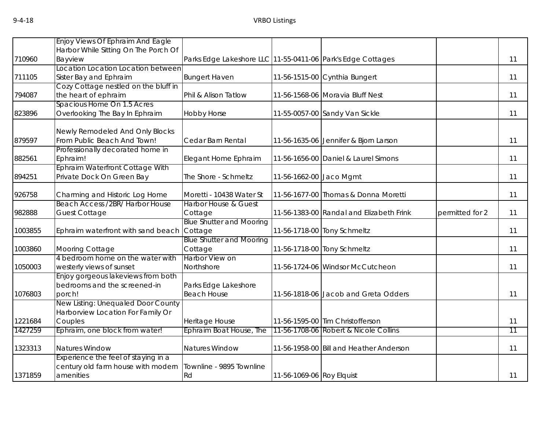|         | Enjoy Views Of Ephraim And Eagle                                  |                                                             |                           |                                          |                 |                 |
|---------|-------------------------------------------------------------------|-------------------------------------------------------------|---------------------------|------------------------------------------|-----------------|-----------------|
|         | Harbor While Sitting On The Porch Of                              |                                                             |                           |                                          |                 |                 |
| 710960  | Bayview                                                           | Parks Edge Lakeshore LLC 11-55-0411-06 Park's Edge Cottages |                           |                                          |                 | 11              |
|         | ocation Location Location between                                 |                                                             |                           |                                          |                 |                 |
| 711105  | Sister Bay and Ephraim                                            | <b>Bungert Haven</b>                                        |                           | 11-56-1515-00 Cynthia Bungert            |                 | 11              |
|         | Cozy Cottage nestled on the bluff in                              |                                                             |                           |                                          |                 |                 |
| 794087  | the heart of ephraim                                              | Phil & Alison Tatlow                                        |                           | 11-56-1568-06 Moravia Bluff Nest         |                 | 11              |
|         | Spacious Home On 1.5 Acres                                        |                                                             |                           |                                          |                 |                 |
| 823896  | Overlooking The Bay In Ephraim                                    | <b>Hobby Horse</b>                                          |                           | 11-55-0057-00 Sandy Van Sickle           |                 | 11              |
|         | Newly Remodeled And Only Blocks                                   |                                                             |                           |                                          |                 |                 |
| 879597  | From Public Beach And Town!                                       | Cedar Barn Rental                                           |                           | 11-56-1635-06 Jennifer & Bjorn Larson    |                 | 11              |
|         | Professionally decorated home in                                  |                                                             |                           |                                          |                 |                 |
| 882561  | Ephraim!                                                          | Elegant Home Ephraim                                        |                           | 11-56-1656-00 Daniel & Laurel Simons     |                 | 11              |
|         | Ephraim Waterfront Cottage With                                   |                                                             |                           |                                          |                 |                 |
| 894251  | Private Dock On Green Bay                                         | The Shore - Schmeltz                                        | 11-56-1662-00 Jaco Mgmt   |                                          |                 | 11              |
|         |                                                                   |                                                             |                           |                                          |                 | 11              |
| 926758  | Charming and Historic Log Home<br>Beach Access /2BR/ Harbor House | Moretti - 10438 Water St<br><b>Harbor House &amp; Guest</b> |                           | 11-56-1677-00 Thomas & Donna Moretti     |                 |                 |
| 982888  | <b>Guest Cottage</b>                                              | Cottage                                                     |                           | 11-56-1383-00 Randal and Elizabeth Frink | permitted for 2 | 11              |
|         |                                                                   | <b>Blue Shutter and Mooring</b>                             |                           |                                          |                 |                 |
| 1003855 | Ephraim waterfront with sand beach                                | Cottage                                                     |                           | 11-56-1718-00 Tony Schmeltz              |                 | 11              |
|         |                                                                   | <b>Blue Shutter and Mooring</b>                             |                           |                                          |                 |                 |
| 1003860 | Mooring Cottage                                                   | Cottage                                                     |                           | 11-56-1718-00 Tony Schmeltz              |                 | 11              |
|         | 4 bedroom home on the water with                                  | <b>Harbor View on</b>                                       |                           |                                          |                 |                 |
| 1050003 | westerly views of sunset                                          | Northshore                                                  |                           | 11-56-1724-06 Windsor McCutcheon         |                 | 11              |
|         | Enjoy gorgeous lakeviews from both                                |                                                             |                           |                                          |                 |                 |
|         | bedrooms and the screened-in                                      | Parks Edge Lakeshore                                        |                           |                                          |                 |                 |
| 1076803 | porch!                                                            | <b>Beach House</b>                                          |                           | 11-56-1818-06 Jacob and Greta Odders     |                 | 11              |
|         | New Listing: Unequaled Door County                                |                                                             |                           |                                          |                 |                 |
|         | Harborview Location For Family Or                                 |                                                             |                           |                                          |                 |                 |
| 1221684 | Couples                                                           | Heritage House                                              |                           | 11-56-1595-00 Tim Christofferson         |                 | 11              |
| 1427259 | Ephraim, one block from water!                                    | Ephraim Boat House, The                                     |                           | 11-56-1708-06 Robert & Nicole Collins    |                 | $\overline{11}$ |
| 1323313 | Natures Window                                                    | <b>Natures Window</b>                                       |                           | 11-56-1958-00 Bill and Heather Anderson  |                 | 11              |
|         | Experience the feel of staying in a                               |                                                             |                           |                                          |                 |                 |
|         | century old farm house with modern                                | Townline - 9895 Townline                                    |                           |                                          |                 |                 |
| 1371859 | amenities                                                         | Rd                                                          | 11-56-1069-06 Roy Elquist |                                          |                 | 11              |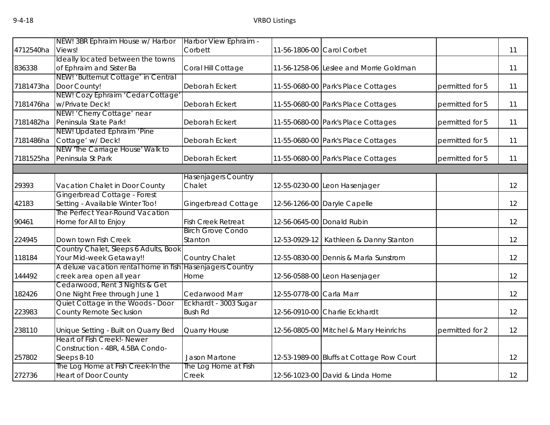|           | NEW! 3BR Ephraim House w/ Harbor      | Harbor View Ephraim -      |                          |                                           |                 |    |
|-----------|---------------------------------------|----------------------------|--------------------------|-------------------------------------------|-----------------|----|
| 4712540ha | Views!                                | Corbett                    |                          | 11-56-1806-00 Carol Corbet                |                 | 11 |
|           | Ideally located between the towns     |                            |                          |                                           |                 |    |
| 836338    | of Ephraim and Sister Ba              | Coral Hill Cottage         |                          | 11-56-1258-06 Leslee and Morrie Goldman   |                 | 11 |
|           | NEW! 'Butternut Cottage' in Central   |                            |                          |                                           |                 |    |
| 7181473ha | Door County!                          | Deborah Eckert             |                          | 11-55-0680-00 Park's Place Cottages       | permitted for 5 | 11 |
|           | NEW! Cozy Ephraim 'Cedar Cottage'     |                            |                          |                                           |                 |    |
| 7181476ha | w/Private Deck!                       | Deborah Eckert             |                          | 11-55-0680-00 Park's Place Cottages       | permitted for 5 | 11 |
|           | NEW! 'Cherry Cottage' near            |                            |                          |                                           |                 |    |
|           | 7181482ha Peninsula State Park!       | Deborah Eckert             |                          | 11-55-0680-00 Park's Place Cottages       | permitted for 5 | 11 |
|           | NEW! Updated Ephraim 'Pine            |                            |                          |                                           |                 |    |
| 7181486ha | Cottage' w/Deck!                      | Deborah Eckert             |                          | 11-55-0680-00 Park's Place Cottages       | permitted for 5 | 11 |
|           | NEW 'The Carriage House' Walk to      |                            |                          |                                           |                 |    |
| 7181525ha | Peninsula St Park                     | Deborah Eckert             |                          | 11-55-0680-00 Park's Place Cottages       | permitted for 5 | 11 |
|           |                                       |                            |                          |                                           |                 |    |
|           |                                       | <b>Hasenjagers Country</b> |                          |                                           |                 |    |
| 29393     | Vacation Chalet in Door County        | Chalet                     |                          | 12-55-0230-00 Leon Hasenjager             |                 | 12 |
|           | Gingerbread Cottage - Forest          |                            |                          |                                           |                 |    |
| 42183     | Setting - Available Winter Too!       | <b>Gingerbread Cottage</b> |                          | 12-56-1266-00 Daryle Capelle              |                 | 12 |
|           | The Perfect Year-Round Vacation       |                            |                          |                                           |                 |    |
| 90461     | Home for All to Enjoy                 | <b>Fish Creek Retreat</b>  |                          | 12-56-0645-00 Donald Rubin                |                 | 12 |
|           |                                       | <b>Birch Grove Condo</b>   |                          |                                           |                 |    |
| 224945    | Down town Fish Creek                  | Stanton                    |                          | 12-53-0929-12   Kathleen & Danny Stanton  |                 | 12 |
|           | Country Chalet, Sleeps 6 Adults, Book |                            |                          |                                           |                 |    |
| 118184    | Your Mid-week Getaway!!               | Country Chalet             |                          | 12-55-0830-00 Dennis & Marla Sunstrom     |                 | 12 |
|           | A deluxe vacation rental home in fish | <b>Hasenjagers Country</b> |                          |                                           |                 |    |
| 144492    | creek area open all year              | Home                       |                          | 12-56-0588-00 Leon Hasenjager             |                 | 12 |
|           | Cedarwood, Rent 3 Nights & Get        |                            |                          |                                           |                 |    |
| 182426    | One Night Free through June 1         | Cedarwood Marr             | 12-55-0778-00 Carla Marr |                                           |                 | 12 |
|           | Quiet Cottage in the Woods - Door     | Eckhardt - 3003 Sugar      |                          |                                           |                 |    |
| 223983    | County Remote Seclusion               | <b>Bush Rd</b>             |                          | 12-56-0910-00 Charlie Eckhardt            |                 | 12 |
|           |                                       |                            |                          |                                           |                 |    |
| 238110    | Unique Setting - Built on Quarry Bed  | <b>Quarry House</b>        |                          | 12-56-0805-00 Mitchel & Mary Heinrichs    | permitted for 2 | 12 |
|           | Heart of Fish Creek!- Newer           |                            |                          |                                           |                 |    |
|           | Construction - 4BR, 4.5BA Condo-      |                            |                          |                                           |                 |    |
| 257802    | Sleeps 8-10                           | Jason Martone              |                          | 12-53-1989-00 Bluffs at Cottage Row Court |                 | 12 |
|           | The Log Home at Fish Creek-In the     | The Log Home at Fish       |                          |                                           |                 |    |
| 272736    | <b>Heart of Door County</b>           | Creek                      |                          | 12-56-1023-00 David & Linda Horne         |                 | 12 |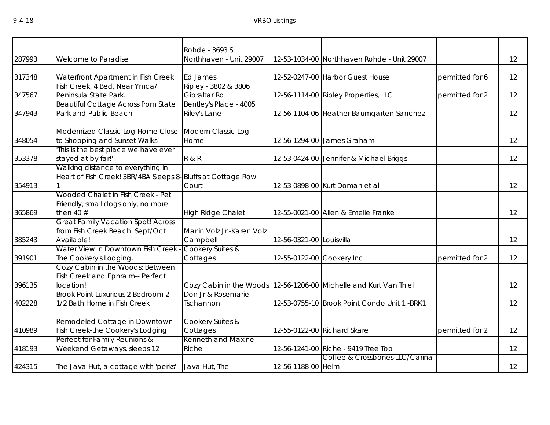|        |                                                             | Rohde - 3693 S             |                           |                                                                       |                 |    |
|--------|-------------------------------------------------------------|----------------------------|---------------------------|-----------------------------------------------------------------------|-----------------|----|
| 287993 | Welcome to Paradise                                         | Northhaven - Unit 29007    |                           | 12-53-1034-00 Northhaven Rohde - Unit 29007                           |                 | 12 |
| 317348 | Waterfront Apartment in Fish Creek                          | Ed James                   |                           | 12-52-0247-00 Harbor Guest House                                      | permitted for 6 | 12 |
|        | Fish Creek, 4 Bed, Near Ymca/                               | Ripley - 3802 & 3806       |                           |                                                                       |                 |    |
| 347567 | Peninsula State Park.                                       | Gibraltar Rd               |                           | 12-56-1114-00 Ripley Properties, LLC                                  | permitted for 2 | 12 |
|        | <b>Beautiful Cottage Across from State</b>                  | Bentley's Place - 4005     |                           |                                                                       |                 |    |
| 347943 | Park and Public Beach                                       | Riley's Lane               |                           | 12-56-1104-06 Heather Baumgarten-Sanchez                              |                 | 12 |
|        | Modernized Classic Log Home Close                           | Modern Classic Log         |                           |                                                                       |                 |    |
| 348054 | to Shopping and Sunset Walks                                | Home                       |                           | 12-56-1294-00 James Graham                                            |                 | 12 |
|        | This is the best place we have ever                         |                            |                           |                                                                       |                 |    |
| 353378 | stayed at by far!'                                          | <b>R&amp;R</b>             |                           | 12-53-0424-00 Jennifer & Michael Briggs                               |                 | 12 |
|        | Walking distance to everything in                           |                            |                           |                                                                       |                 |    |
|        | Heart of Fish Creek! 3BR/4BA Sleeps 8-Bluffs at Cottage Row |                            |                           |                                                                       |                 |    |
| 354913 |                                                             | Court                      |                           | 12-53-0898-00 Kurt Doman et al                                        |                 | 12 |
|        | Wooded Chalet in Fish Creek - Pet                           |                            |                           |                                                                       |                 |    |
|        | Friendly, small dogs only, no more                          |                            |                           |                                                                       |                 |    |
| 365869 | then 40 $#$                                                 | <b>High Ridge Chalet</b>   |                           | 12-55-0021-00 Allen & Emelie Franke                                   |                 | 12 |
|        | <b>Great Family Vacation Spot! Across</b>                   | Marlin Volz Jr.-Karen Volz |                           |                                                                       |                 |    |
| 385243 | from Fish Creek Beach. Sept/Oct<br>Available!               | Campbell                   | 12-56-0321-00 Louisvilla  |                                                                       |                 | 12 |
|        | Water View in Downtown Fish Creek                           | Cookery Suites &           |                           |                                                                       |                 |    |
| 391901 | The Cookery's Lodging.                                      | Cottages                   | 12-55-0122-00 Cookery Inc |                                                                       | permitted for 2 | 12 |
|        | Cozy Cabin in the Woods: Between                            |                            |                           |                                                                       |                 |    |
|        | Fish Creek and Ephraim-- Perfect                            |                            |                           |                                                                       |                 |    |
| 396135 | location!                                                   |                            |                           | Cozy Cabin in the Woods   12-56-1206-00   Michelle and Kurt Van Thiel |                 | 12 |
|        | Brook Point Luxurious 2 Bedroom 2                           | Don Jr & Rosemarie         |                           |                                                                       |                 |    |
| 402228 | 1/2 Bath Home in Fish Creek                                 | Tschannon                  |                           | 12-53-0755-10 Brook Point Condo Unit 1 -BRK1                          |                 | 12 |
|        | Remodeled Cottage in Downtown                               | Cookery Suites &           |                           |                                                                       |                 |    |
| 410989 | Fish Creek-the Cookery's Lodging                            | Cottages                   |                           | 12-55-0122-00 Richard Skare                                           | permitted for 2 | 12 |
|        | Perfect for Family Reunions &                               | Kenneth and Maxine         |                           |                                                                       |                 |    |
| 418193 | Weekend Getaways, sleeps 12                                 | Riche                      |                           | 12-56-1241-00 Riche - 9419 Tree Top                                   |                 | 12 |
|        |                                                             |                            |                           | Coffee & Crossbones LLC/Carina                                        |                 |    |
| 424315 | The Java Hut, a cottage with 'perks'                        | Java Hut, The              | 12-56-1188-00 Helm        |                                                                       |                 | 12 |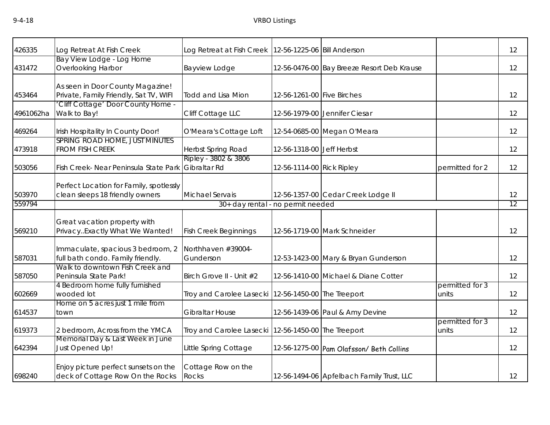| 426335           | Log Retreat At Fish Creek                                                  | Log Retreat at Fish Creek   12-56-1225-06   Bill Anderson |                            |                                            |                          | 12       |
|------------------|----------------------------------------------------------------------------|-----------------------------------------------------------|----------------------------|--------------------------------------------|--------------------------|----------|
| 431472           | Bay View Lodge - Log Home<br><b>Overlooking Harbor</b>                     | Bayview Lodge                                             |                            | 12-56-0476-00 Bay Breeze Resort Deb Krause |                          | 12       |
| 453464           | As seen in Door County Magazine!<br>Private, Family Friendly, Sat TV, WIFI | <b>Todd and Lisa Mion</b>                                 | 12-56-1261-00 Five Birches |                                            |                          | 12       |
| 4961062ha        | Cliff Cottage' Door County Home -<br>Walk to Bay!                          | Cliff Cottage LLC                                         |                            | 12-56-1979-00 Jennifer Ciesar              |                          | 12       |
| 469264           | Irish Hospitality In County Door!                                          | O'Meara's Cottage Loft                                    |                            | 12-54-0685-00 Megan O'Meara                |                          | 12       |
| 473918           | <b>SPRING ROAD HOME, JUST MINUTES</b><br><b>FROM FISH CREEK</b>            | <b>Herbst Spring Road</b>                                 | 12-56-1318-00 Jeff Herbst  |                                            |                          | 12       |
| 503056           | Fish Creek- Near Peninsula State Park                                      | Ripley - 3802 & 3806<br>Gibraltar Rd                      | 12-56-1114-00 Rick Ripley  |                                            | permitted for 2          | 12       |
| 503970<br>559794 | Perfect Location for Family, spotlessly<br>clean sleeps 18 friendly owners | Michael Servais<br>30+ day rental - no permit needed      |                            | 12-56-1357-00 Cedar Creek Lodge II         |                          | 12<br>12 |
|                  |                                                                            |                                                           |                            |                                            |                          |          |
| 569210           | Great vacation property with<br>PrivacyExactly What We Wanted!             | <b>Fish Creek Beginnings</b>                              |                            | 12-56-1719-00 Mark Schneider               |                          | 12       |
| 587031           | Immaculate, spacious 3 bedroom, 2<br>full bath condo. Family friendly.     | Northhaven #39004-<br>Gunderson                           |                            | 12-53-1423-00 Mary & Bryan Gunderson       |                          | 12       |
| 587050           | Walk to downtown Fish Creek and<br>Peninsula State Park!                   | Birch Grove II - Unit #2                                  |                            | 12-56-1410-00 Michael & Diane Cotter       |                          | 12       |
| 602669           | 4 Bedroom home fully furnished<br>wooded lot                               | Troy and Carolee Lasecki 12-56-1450-00 The Treeport       |                            |                                            | permitted for 3<br>units | 12       |
| 614537           | Home on 5 acres just 1 mile from<br>town                                   | <b>Gibraltar House</b>                                    |                            | 12-56-1439-06 Paul & Amy Devine            |                          | 12       |
| 619373           | 2 bedroom, Across from the YMCA                                            | Troy and Carolee Lasecki                                  | 12-56-1450-00 The Treeport |                                            | permitted for 3<br>units | 12       |
| 642394           | Memorial Day & Last Week in June<br>Just Opened Up!                        | Little Spring Cottage                                     |                            | 12-56-1275-00 Pam Olafsson/ Beth Collins   |                          | 12       |
| 698240           | Enjoy picture perfect sunsets on the<br>deck of Cottage Row On the Rocks   | Cottage Row on the<br>Rocks                               |                            | 12-56-1494-06 Apfelbach Family Trust, LLC  |                          | 12       |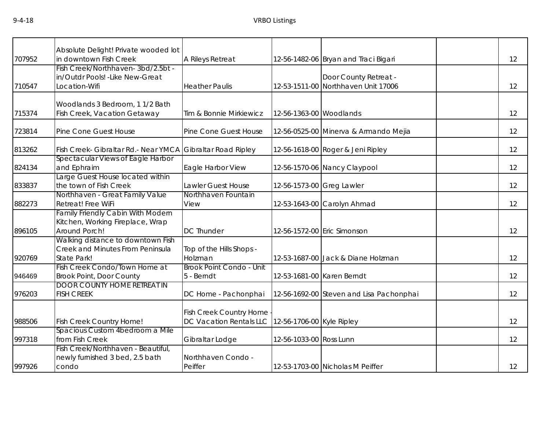|        | Absolute Delight! Private wooded lot                        |                          |                           |                                                              |    |
|--------|-------------------------------------------------------------|--------------------------|---------------------------|--------------------------------------------------------------|----|
| 707952 | in downtown Fish Creek<br>Fish Creek/Northhaven-3bd/2.5bt - | A Rileys Retreat         |                           | 12-56-1482-06 Bryan and Traci Bigari                         | 12 |
|        | in/Outdr Pools! - Like New-Great                            |                          |                           |                                                              |    |
| 710547 | Location-Wifi                                               | <b>Heather Paulis</b>    |                           | Door County Retreat -<br>12-53-1511-00 Northhaven Unit 17006 | 12 |
|        |                                                             |                          |                           |                                                              |    |
|        | Woodlands 3 Bedroom, 1 1/2 Bath                             |                          |                           |                                                              |    |
| 715374 | Fish Creek, Vacation Getaway                                | Tim & Bonnie Mirkiewicz  | 12-56-1363-00 Woodlands   |                                                              | 12 |
|        |                                                             |                          |                           |                                                              |    |
| 723814 | Pine Cone Guest House                                       | Pine Cone Guest House    |                           | 12-56-0525-00 Minerva & Armando Mejia                        | 12 |
|        |                                                             |                          |                           |                                                              |    |
| 813262 | Fish Creek- Gibraltar Rd.- Near YMCA Gibraltar Road Ripley  |                          |                           | 12-56-1618-00 Roger & Jeni Ripley                            | 12 |
|        | Spectacular Views of Eagle Harbor                           |                          |                           |                                                              |    |
| 824134 | and Ephraim                                                 | Eagle Harbor View        |                           | 12-56-1570-06 Nancy Claypool                                 | 12 |
|        | Large Guest House located within                            |                          |                           |                                                              |    |
| 833837 | the town of Fish Creek                                      | Lawler Guest House       | 12-56-1573-00 Greg Lawler |                                                              | 12 |
|        | Northhaven - Great Family Value                             | Northhaven Fountain      |                           |                                                              |    |
| 882273 | Retreat! Free WiFi                                          | View                     |                           | 12-53-1643-00 Carolyn Ahmad                                  | 12 |
|        | <b>Family Friendly Cabin With Modern</b>                    |                          |                           |                                                              |    |
|        | Kitchen, Working Fireplace, Wrap                            |                          |                           |                                                              |    |
| 896105 | Around Porch!                                               | <b>DC Thunder</b>        |                           | 12-56-1572-00 Eric Simonson                                  | 12 |
|        | Walking distance to downtown Fish                           |                          |                           |                                                              |    |
|        | Creek and Minutes From Peninsula                            | Top of the Hills Shops - |                           |                                                              |    |
| 920769 | State Park!                                                 | Holzman                  |                           | 12-53-1687-00 Jack & Diane Holzman                           | 12 |
|        | Fish Creek Condo/Town Home at                               | Brook Point Condo - Unit |                           |                                                              |    |
| 946469 | <b>Brook Point, Door County</b>                             | 5 - Berndt               |                           | 12-53-1681-00 Karen Berndt                                   | 12 |
|        | <b>DOOR COUNTY HOME RETREAT IN</b>                          |                          |                           |                                                              |    |
| 976203 | <b>FISH CREEK</b>                                           | DC Home - Pachonphai     |                           | 12-56-1692-00 Steven and Lisa Pachonphai                     | 12 |
|        |                                                             |                          |                           |                                                              |    |
|        |                                                             | Fish Creek Country Home  |                           |                                                              |    |
| 988506 | Fish Creek Country Home!                                    | DC Vacation Rentals LLC  | 12-56-1706-00 Kyle Ripley |                                                              | 12 |
|        | Spacious Custom 4bedroom a Mile                             |                          |                           |                                                              |    |
| 997318 | from Fish Creek                                             | Gibraltar Lodge          | 12-56-1033-00 Ross Lunn   |                                                              | 12 |
|        | Fish Creek/Northhaven - Beautiful,                          |                          |                           |                                                              |    |
|        | newly furnished 3 bed, 2.5 bath                             | Northhaven Condo -       |                           |                                                              |    |
| 997926 | condo                                                       | Peiffer                  |                           | 12-53-1703-00 Nicholas M Peiffer                             | 12 |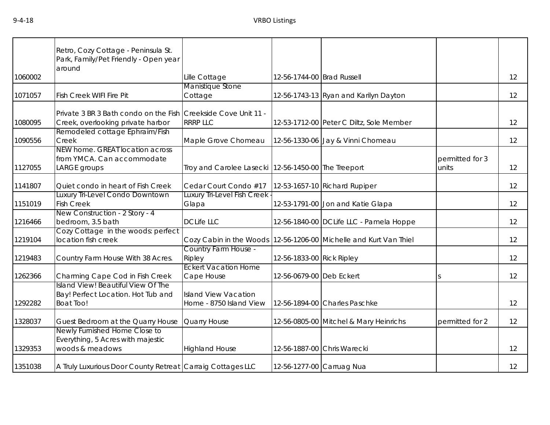|         | Retro, Cozy Cottage - Peninsula St.<br>Park, Family/Pet Friendly - Open year<br>around              |                                                        |                            |                                                                       |                          |    |
|---------|-----------------------------------------------------------------------------------------------------|--------------------------------------------------------|----------------------------|-----------------------------------------------------------------------|--------------------------|----|
| 1060002 |                                                                                                     | Lille Cottage                                          | 12-56-1744-00 Brad Russell |                                                                       |                          | 12 |
| 1071057 | Fish Creek WIFI Fire Pit                                                                            | Manistique Stone<br>Cottage                            |                            | 12-56-1743-13 Ryan and Karilyn Dayton                                 |                          | 12 |
| 1080095 | Private 3 BR 3 Bath condo on the Fish Creekside Cove Unit 11 -<br>Creek, overlooking private harbor | <b>RRRP LLC</b>                                        |                            | 12-53-1712-00 Peter C Diltz, Sole Member                              |                          | 12 |
| 1090556 | Remodeled cottage Ephraim/Fish<br>Creek                                                             | Maple Grove Chomeau                                    |                            | 12-56-1330-06 Jay & Vinni Chomeau                                     |                          | 12 |
| 1127055 | NEW home. GREAT location across<br>from YMCA. Can accommodate<br>LARGE groups                       | Troy and Carolee Lasecki 12-56-1450-00 The Treeport    |                            |                                                                       | permitted for 3<br>units | 12 |
| 1141807 | Quiet condo in heart of Fish Creek                                                                  | Cedar Court Condo #17                                  |                            | 12-53-1657-10 Richard Rupiper                                         |                          | 12 |
| 1151019 | Luxury Tri-Level Condo Downtown<br><b>Fish Creek</b>                                                | Luxury Tri-Level Fish Creek<br>Glapa                   |                            | 12-53-1791-00 Jon and Katie Glapa                                     |                          | 12 |
| 1216466 | New Construction - 2 Story - 4<br>bedroom, 3.5 bath                                                 | <b>DCLife LLC</b>                                      |                            | 12-56-1840-00 DCLife LLC - Pamela Hoppe                               |                          | 12 |
| 1219104 | Cozy Cottage in the woods: perfect<br>location fish creek                                           |                                                        |                            | Cozy Cabin in the Woods   12-56-1206-00   Michelle and Kurt Van Thiel |                          | 12 |
| 1219483 | Country Farm House With 38 Acres.                                                                   | Country Farm House -<br>Ripley                         | 12-56-1833-00 Rick Ripley  |                                                                       |                          | 12 |
| 1262366 | Charming Cape Cod in Fish Creek                                                                     | <b>Eckert Vacation Home</b><br>Cape House              | 12-56-0679-00 Deb Eckert   |                                                                       |                          | 12 |
| 1292282 | Island View! Beautiful View Of The<br>Bay! Perfect Location. Hot Tub and<br><b>Boat Too!</b>        | <b>Island View Vacation</b><br>Home - 8750 Island View |                            | 12-56-1894-00 Charles Paschke                                         |                          | 12 |
| 1328037 | Guest Bedroom at the Quarry House                                                                   | Quarry House                                           |                            | 12-56-0805-00 Mitchel & Mary Heinrichs                                | permitted for 2          | 12 |
| 1329353 | Newly Furnished Home Close to<br>Everything, 5 Acres with majestic<br>woods & meadows               | <b>Highland House</b>                                  |                            | 12-56-1887-00 Chris Warecki                                           |                          | 12 |
| 1351038 | A Truly Luxurious Door County Retreat Carraig Cottages LLC                                          |                                                        |                            | 12-56-1277-00 Carruag Nua                                             |                          | 12 |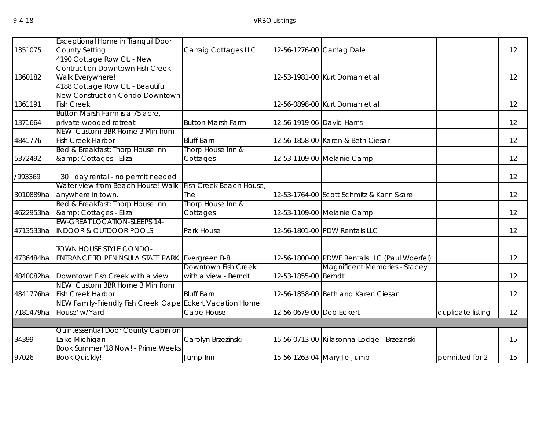|           | <b>Exceptional Home in Tranquil Door</b>                  |                          |                            |                                               |                   |    |
|-----------|-----------------------------------------------------------|--------------------------|----------------------------|-----------------------------------------------|-------------------|----|
| 1351075   | <b>County Setting</b>                                     | Carraig Cottages LLC     | 12-56-1276-00 Carriag Dale |                                               |                   | 12 |
|           | 4190 Cottage Row Ct. - New                                |                          |                            |                                               |                   |    |
|           | <b>Contruction Downtown Fish Creek -</b>                  |                          |                            |                                               |                   |    |
| 1360182   | Walk Everywhere!                                          |                          |                            | 12-53-1981-00 Kurt Doman et al                |                   | 12 |
|           | 4188 Cottage Row Ct. - Beautiful                          |                          |                            |                                               |                   |    |
|           | New Construction Condo Downtown                           |                          |                            |                                               |                   |    |
| 1361191   | <b>Fish Creek</b>                                         |                          |                            | 12-56-0898-00 Kurt Doman et al                |                   | 12 |
|           | Button Marsh Farm is a 75 acre,                           |                          |                            |                                               |                   |    |
| 1371664   | private wooded retreat                                    | <b>Button Marsh Farm</b> | 12-56-1919-06 David Harris |                                               |                   | 12 |
|           | NEW! Custom 3BR Home 3 Min from                           |                          |                            |                                               |                   |    |
| 4841776   | <b>Fish Creek Harbor</b>                                  | <b>Bluff Barn</b>        |                            | 12-56-1858-00 Karen & Beth Ciesar             |                   | 12 |
|           | Bed & Breakfast: Thorp House Inn                          | Thorp House Inn &        |                            |                                               |                   |    |
| 5372492   | & Cottages - Eliza                                        | Cottages                 |                            | 12-53-1109-00 Melanie Camp                    |                   | 12 |
|           |                                                           |                          |                            |                                               |                   |    |
| /993369   | 30+ day rental - no permit needed                         |                          |                            |                                               |                   | 12 |
|           | Water view from Beach House! Walk                         | Fish Creek Beach House,  |                            |                                               |                   |    |
| 3010889ha | anywhere in town.                                         | The                      |                            | 12-53-1764-00 Scott Schmitz & Karin Skare     |                   | 12 |
|           | Bed & Breakfast: Thorp House Inn                          | Thorp House Inn &        |                            |                                               |                   |    |
| 4622953ha | & Cottages - Eliza                                        | Cottages                 |                            | 12-53-1109-00 Melanie Camp                    |                   | 12 |
|           | <b>EW-GREAT LOCATION-SLEEPS 14-</b>                       |                          |                            |                                               |                   |    |
| 4713533ha | <b>INDOOR &amp; OUTDOOR POOLS</b>                         | Park House               |                            | 12-56-1801-00 PDW Rentals LLC                 |                   | 12 |
|           |                                                           |                          |                            |                                               |                   |    |
|           | TOWN HOUSE STYLE CONDO-                                   |                          |                            |                                               |                   |    |
| 4736484ha | ENTRANCE TO PENINSULA STATE PARK Evergreen B-8            |                          |                            | 12-56-1800-00 PDWE Rentals LLC (Paul Woerfel) |                   | 12 |
|           |                                                           | Downtown Fish Creek      |                            | <b>Magnificent Memories - Stacey</b>          |                   |    |
|           | 4840082ha Downtown Fish Creek with a view                 | with a view - Berndt     | 12-53-1855-00 Berndt       |                                               |                   | 12 |
|           | NEW! Custom 3BR Home 3 Min from                           |                          |                            |                                               |                   |    |
|           | 4841776ha Fish Creek Harbor                               | <b>Bluff Barn</b>        |                            | 12-56-1858-00 Beth and Karen Ciesar           |                   | 12 |
|           | NEW Family-Friendly Fish Creek 'Cape Eckert Vacation Home |                          |                            |                                               |                   |    |
|           | 7181479ha House' w/Yard                                   | Cape House               | 12-56-0679-00 Deb Eckert   |                                               | duplicate listing | 12 |
|           |                                                           |                          |                            |                                               |                   |    |
|           | Quintessential Door County Cabin on                       |                          |                            |                                               |                   |    |
| 34399     | Lake Michigan                                             | Carolyn Brzezinski       |                            | 15-56-0713-00 Killasonna Lodge - Brzezinski   |                   | 15 |
|           | Book Summer '18 Now! - Prime Weeks                        |                          |                            |                                               |                   |    |
| 97026     | <b>Book Quickly!</b>                                      | Jump Inn                 |                            | 15-56-1263-04 Mary Jo Jump                    | permitted for 2   | 15 |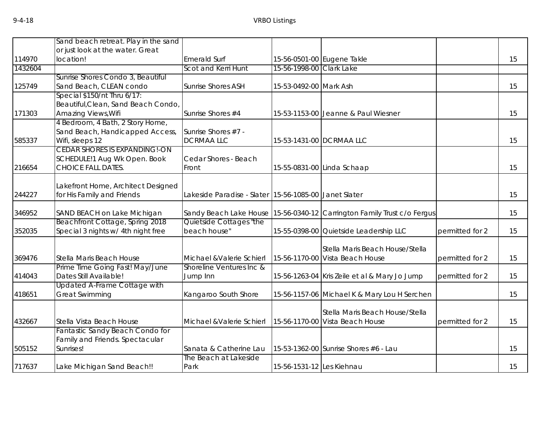|         | Sand beach retreat. Play in the sand                          |                                                       |                           |                                                                         |                 |    |
|---------|---------------------------------------------------------------|-------------------------------------------------------|---------------------------|-------------------------------------------------------------------------|-----------------|----|
|         | or just look at the water. Great                              |                                                       |                           |                                                                         |                 |    |
| 114970  | location!                                                     | <b>Emerald Surf</b>                                   |                           | 15-56-0501-00 Eugene Takle                                              |                 | 15 |
| 1432604 |                                                               | Scot and Kerri Hunt                                   | 15-56-1998-00 Clark Lake  |                                                                         |                 |    |
|         | Sunrise Shores Condo 3, Beautiful                             |                                                       |                           |                                                                         |                 |    |
| 125749  | Sand Beach, CLEAN condo                                       | <b>Sunrise Shores ASH</b>                             | 15-53-0492-00 Mark Ash    |                                                                         |                 | 15 |
|         | Special \$150/nt Thru 6/17:                                   |                                                       |                           |                                                                         |                 |    |
|         | Beautiful, Clean, Sand Beach Condo,                           |                                                       |                           |                                                                         |                 |    |
| 171303  | Amazing Views, Wifi                                           | Sunrise Shores #4                                     |                           | 15-53-1153-00 Jeanne & Paul Wiesner                                     |                 | 15 |
|         | 4 Bedroom, 4 Bath, 2 Story Home,                              |                                                       |                           |                                                                         |                 |    |
|         | Sand Beach, Handicapped Access,                               | Sunrise Shores #7 -                                   |                           |                                                                         |                 |    |
| 585337  | Wifi, sleeps 12                                               | <b>DCRMAALLC</b>                                      |                           | 15-53-1431-00 DCRMAA LLC                                                |                 | 15 |
|         | <b>CEDAR SHORES IS EXPANDING!-ON</b>                          |                                                       |                           |                                                                         |                 |    |
|         | SCHEDULE!1 Aug Wk Open. Book                                  | Cedar Shores - Beach                                  |                           |                                                                         |                 |    |
| 216654  | <b>CHOICE FALL DATES.</b>                                     | Front                                                 |                           | 15-55-0831-00 Linda Schaap                                              |                 | 15 |
|         | Lakefront Home, Architect Designed                            |                                                       |                           |                                                                         |                 |    |
| 244227  | for His Family and Friends                                    | Lakeside Paradise - Slater 15-56-1085-00 Janet Slater |                           |                                                                         |                 | 15 |
|         |                                                               |                                                       |                           |                                                                         |                 |    |
| 346952  | SAND BEACH on Lake Michigan                                   |                                                       |                           | Sandy Beach Lake House 15-56-0340-12 Carrington Family Trust c/o Fergus |                 | 15 |
|         | Beachfront Cottage, Spring 2018                               | Quietside Cottages "the                               |                           |                                                                         |                 |    |
| 352035  | Special 3 nights w/ 4th night free                            | beach house"                                          |                           | 15-55-0398-00 Quietside Leadership LLC                                  | permitted for 2 | 15 |
|         |                                                               |                                                       |                           |                                                                         |                 |    |
|         |                                                               |                                                       |                           | Stella Maris Beach House/Stella                                         |                 |    |
| 369476  | Stella Maris Beach House                                      | Michael & Valerie Schierl                             |                           | 15-56-1170-00 Vista Beach House                                         | permitted for 2 | 15 |
|         | Prime Time Going Fast! May/June                               | Shoreline Ventures Inc &                              |                           |                                                                         |                 |    |
| 414043  | Dates Still Available!<br><b>Updated A-Frame Cottage with</b> | Jump Inn                                              |                           | 15-56-1263-04 Kris Zeile et al & Mary Jo Jump                           | permitted for 2 | 15 |
| 418651  | <b>Great Swimming</b>                                         | Kangaroo South Shore                                  |                           | 15-56-1157-06 Michael K & Mary Lou H Serchen                            |                 | 15 |
|         |                                                               |                                                       |                           |                                                                         |                 |    |
|         |                                                               |                                                       |                           | Stella Maris Beach House/Stella                                         |                 |    |
| 432667  | Stella Vista Beach House                                      | Michael & Valerie Schierl                             |                           | 15-56-1170-00 Vista Beach House                                         | permitted for 2 | 15 |
|         | Fantastic Sandy Beach Condo for                               |                                                       |                           |                                                                         |                 |    |
|         | Family and Friends. Spectacular                               |                                                       |                           |                                                                         |                 |    |
| 505152  | Sunrises!                                                     | Sanata & Catherine Lau                                |                           | 15-53-1362-00 Sunrise Shores #6 - Lau                                   |                 | 15 |
|         |                                                               | The Beach at Lakeside                                 |                           |                                                                         |                 |    |
| 717637  | Lake Michigan Sand Beach!!                                    | Park                                                  | 15-56-1531-12 Les Kiehnau |                                                                         |                 | 15 |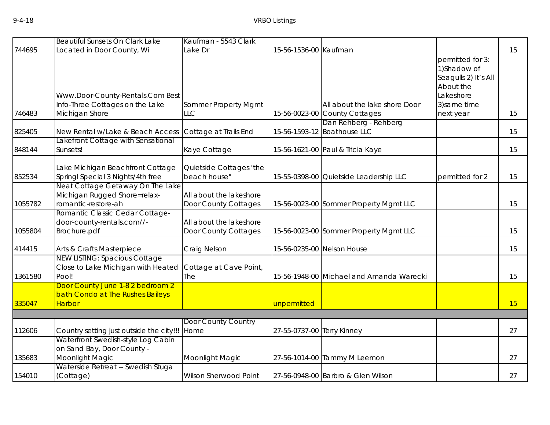|         | <b>Beautiful Sunsets On Clark Lake</b>                                                  | Kaufman - 5543 Clark                            |                            |                                                      |                                                                                    |    |
|---------|-----------------------------------------------------------------------------------------|-------------------------------------------------|----------------------------|------------------------------------------------------|------------------------------------------------------------------------------------|----|
| 744695  | Located in Door County, Wi                                                              | Lake Dr                                         | 15-56-1536-00 Kaufman      |                                                      |                                                                                    | 15 |
|         | Www.Door-County-Rentals.Com Best                                                        |                                                 |                            |                                                      | permitted for 3:<br>1) Shadow of<br>Seagulls 2) It's All<br>About the<br>Lakeshore |    |
|         | Info-Three Cottages on the Lake                                                         | Sommer Property Mgmt                            |                            | All about the lake shore Door                        | 3) same time                                                                       |    |
| 746483  | Michigan Shore                                                                          | <b>LLC</b>                                      |                            | 15-56-0023-00 County Cottages                        | next year                                                                          | 15 |
| 825405  | New Rental w/Lake & Beach Access                                                        | Cottage at Trails End                           |                            | Dan Rehberg - Rehberg<br>15-56-1593-12 Boathouse LLC |                                                                                    | 15 |
| 848144  | akefront Cottage with Sensational<br>Sunsets!                                           | Kaye Cottage                                    |                            | 15-56-1621-00 Paul & Tricia Kaye                     |                                                                                    | 15 |
| 852534  | Lake Michigan Beachfront Cottage<br>Springl Special 3 Nights/4th free                   | Quietside Cottages "the<br>beach house"         |                            | 15-55-0398-00 Quietside Leadership LLC               | permitted for 2                                                                    | 15 |
| 1055782 | Neat Cottage Getaway On The Lake<br>Michigan Rugged Shore=relax-<br>romantic-restore-ah | All about the lakeshore<br>Door County Cottages |                            | 15-56-0023-00 Sommer Property Mgmt LLC               |                                                                                    | 15 |
| 1055804 | Romantic Classic Cedar Cottage-<br>door-county-rentals.com//-<br>Brochure.pdf           | All about the lakeshore<br>Door County Cottages |                            | 15-56-0023-00 Sommer Property Mgmt LLC               |                                                                                    | 15 |
| 414415  | Arts & Crafts Masterpiece                                                               | Craig Nelson                                    |                            | 15-56-0235-00 Nelson House                           |                                                                                    | 15 |
| 1361580 | <b>NEW LISTING: Spacious Cottage</b><br>Close to Lake Michigan with Heated<br>Pool!     | Cottage at Cave Point,<br>The                   |                            | 15-56-1948-00 Michael and Amanda Warecki             |                                                                                    | 15 |
| 335047  | Door County June 1-8 2 bedroom 2<br>bath Condo at The Rushes Baileys<br><b>Harbor</b>   |                                                 | unpermitted                |                                                      |                                                                                    | 15 |
|         |                                                                                         |                                                 |                            |                                                      |                                                                                    |    |
| 112606  | Country setting just outside the city!!!                                                | Door County Country<br>Home                     | 27-55-0737-00 Terry Kinney |                                                      |                                                                                    | 27 |
| 135683  | Waterfront Swedish-style Log Cabin<br>on Sand Bay, Door County -<br>Moonlight Magic     | Moonlight Magic                                 |                            | 27-56-1014-00 Tammy M Leemon                         |                                                                                    | 27 |
| 154010  | Waterside Retreat -- Swedish Stuga<br>(Cottage)                                         | Wilson Sherwood Point                           |                            | 27-56-0948-00 Barbro & Glen Wilson                   |                                                                                    | 27 |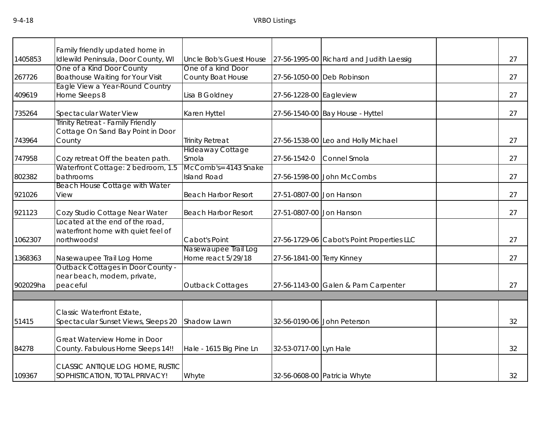|          | Family friendly updated home in         |                                  |                            |                                            |    |
|----------|-----------------------------------------|----------------------------------|----------------------------|--------------------------------------------|----|
| 1405853  | Idlewild Peninsula, Door County, WI     | <b>Uncle Bob's Guest House</b>   |                            | 27-56-1995-00 Richard and Judith Laessig   | 27 |
|          | One of a Kind Door County               | One of a kind Door               |                            |                                            |    |
| 267726   | <b>Boathouse Waiting for Your Visit</b> | County Boat House                |                            | 27-56-1050-00 Deb Robinson                 | 27 |
|          | Eagle View a Year-Round Country         |                                  |                            |                                            |    |
| 409619   | Home Sleeps 8                           | Lisa B Goldney                   | 27-56-1228-00 Eagleview    |                                            | 27 |
| 735264   | Spectacular Water View                  | Karen Hyttel                     |                            | 27-56-1540-00 Bay House - Hyttel           | 27 |
|          | Trinity Retreat - Family Friendly       |                                  |                            |                                            |    |
|          | Cottage On Sand Bay Point in Door       |                                  |                            |                                            |    |
| 743964   | County                                  | <b>Trinity Retreat</b>           |                            | 27-56-1538-00 Leo and Holly Michael        | 27 |
| 747958   | Cozy retreat Off the beaten path.       | <b>Hideaway Cottage</b><br>Smola | 27-56-1542-0               | Connel Smola                               | 27 |
|          | Waterfront Cottage: 2 bedroom, 1.5      | McComb's= 4143 Snake             |                            |                                            |    |
| 802382   | bathrooms                               | <b>Island Road</b>               |                            | 27-56-1598-00 John McCombs                 | 27 |
|          | <b>Beach House Cottage with Water</b>   |                                  |                            |                                            |    |
| 921026   | View                                    | <b>Beach Harbor Resort</b>       | 27-51-0807-00 Jon Hanson   |                                            | 27 |
| 921123   | Cozy Studio Cottage Near Water          | <b>Beach Harbor Resort</b>       | 27-51-0807-00 Jon Hanson   |                                            | 27 |
|          | Located at the end of the road,         |                                  |                            |                                            |    |
|          | waterfront home with quiet feel of      |                                  |                            |                                            |    |
| 1062307  | northwoods!                             | Cabot's Point                    |                            | 27-56-1729-06 Cabot's Point Properties LLC | 27 |
|          |                                         | Nasewaupee Trail Log             |                            |                                            |    |
| 1368363  | Nasewaupee Trail Log Home               | Home react 5/29/18               | 27-56-1841-00 Terry Kinney |                                            | 27 |
|          | Outback Cottages in Door County -       |                                  |                            |                                            |    |
|          | near beach, modern, private,            |                                  |                            |                                            |    |
| 902029ha | peaceful                                | <b>Outback Cottages</b>          |                            | 27-56-1143-00 Galen & Pam Carpenter        | 27 |
|          |                                         |                                  |                            |                                            |    |
|          | Classic Waterfront Estate,              |                                  |                            |                                            |    |
| 51415    | Spectacular Sunset Views, Sleeps 20     | Shadow Lawn                      |                            | 32-56-0190-06 John Peterson                | 32 |
|          |                                         |                                  |                            |                                            |    |
|          | Great Waterview Home in Door            |                                  |                            |                                            |    |
| 84278    | County. Fabulous Home Sleeps 14!!       | Hale - 1615 Big Pine Ln          | 32-53-0717-00 Lyn Hale     |                                            | 32 |
|          | CLASSIC ANTIQUE LOG HOME, RUSTIC        |                                  |                            |                                            |    |
| 109367   | SOPHISTICATION, TOTAL PRIVACY!          | Whyte                            |                            | 32-56-0608-00 Patricia Whyte               | 32 |
|          |                                         |                                  |                            |                                            |    |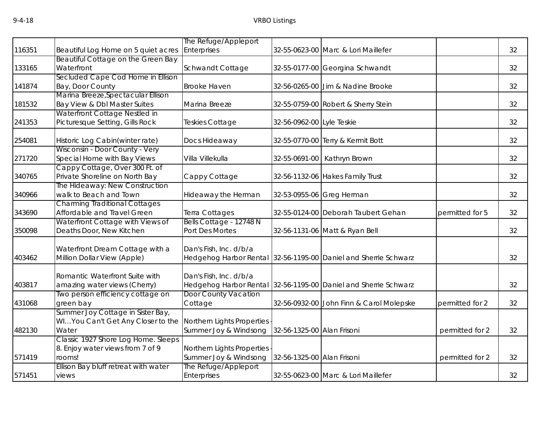|        |                                            | The Refuge/Appleport                                |                            |                                                                 |                 |    |
|--------|--------------------------------------------|-----------------------------------------------------|----------------------------|-----------------------------------------------------------------|-----------------|----|
| 116351 | Beautiful Log Home on 5 quiet acres        | Enterprises                                         |                            | 32-55-0623-00 Marc & Lori Maillefer                             |                 | 32 |
|        | Beautiful Cottage on the Green Bay         |                                                     |                            |                                                                 |                 |    |
| 133165 | Waterfront                                 | Schwandt Cottage                                    |                            | 32-55-0177-00 Georgina Schwandt                                 |                 | 32 |
|        | Secluded Cape Cod Home in Ellison          |                                                     |                            |                                                                 |                 |    |
| 141874 | Bay, Door County                           | <b>Brooke Haven</b>                                 |                            | 32-56-0265-00 Jim & Nadine Brooke                               |                 | 32 |
|        | Marina Breeze, Spectacular Ellison         |                                                     |                            |                                                                 |                 |    |
| 181532 | Bay View & Dbl Master Suites               | Marina Breeze                                       |                            | 32-55-0759-00 Robert & Sherry Stein                             |                 | 32 |
|        | Waterfront Cottage Nestled in              |                                                     |                            |                                                                 |                 |    |
| 241353 | Picturesque Setting, Gills Rock            | Teskies Cottage                                     | 32-56-0962-00 Lyle Teskie  |                                                                 |                 | 32 |
| 254081 | Historic Log Cabin(winter rate)            | Docs Hideaway                                       |                            | 32-55-0770-00 Terry & Kermit Bott                               |                 | 32 |
|        | Wisconsin - Door County - Very             |                                                     |                            |                                                                 |                 |    |
| 271720 | Special Home with Bay Views                | Villa Villekulla                                    |                            | 32-55-0691-00 Kathryn Brown                                     |                 | 32 |
|        | Cappy Cottage, Over 300 Ft. of             |                                                     |                            |                                                                 |                 |    |
| 340765 | Private Shoreline on North Bay             | Cappy Cottage                                       |                            | 32-56-1132-06 Hakes Family Trust                                |                 | 32 |
|        | The Hideaway: New Construction             |                                                     |                            |                                                                 |                 |    |
| 340966 | walk to Beach and Town                     | Hideaway the Herman                                 |                            | 32-53-0955-06 Greg Herman                                       |                 | 32 |
|        | <b>Charming Traditional Cottages</b>       |                                                     |                            |                                                                 |                 |    |
| 343690 | Affordable and Travel Green                | Terra Cottages                                      |                            | 32-55-0124-00 Deborah Taubert Gehan                             | permitted for 5 | 32 |
|        | Waterfront Cottage with Views of           | Bells Cottage - 12748 N                             |                            |                                                                 |                 |    |
| 350098 | Deaths Door, New Kitchen                   | Port Des Mortes                                     |                            | 32-56-1131-06 Matt & Ryan Bell                                  |                 | 32 |
|        | Waterfront Dream Cottage with a            | Dan's Fish, Inc. d/b/a                              |                            |                                                                 |                 |    |
| 403462 | Million Dollar View (Apple)                |                                                     |                            | Hedgehog Harbor Rental 32-56-1195-00 Daniel and Sherrie Schwarz |                 | 32 |
|        |                                            |                                                     |                            |                                                                 |                 |    |
|        | Romantic Waterfront Suite with             | Dan's Fish, Inc. d/b/a                              |                            |                                                                 |                 |    |
| 403817 | amazing water views (Cherry)               |                                                     |                            | Hedgehog Harbor Rental 32-56-1195-00 Daniel and Sherrie Schwarz |                 | 32 |
|        | Two person efficiency cottage on           | <b>Door County Vacation</b>                         |                            |                                                                 |                 |    |
| 431068 | green bay                                  | Cottage                                             |                            | 32-56-0932-00 John Finn & Carol Molepske                        | permitted for 2 | 32 |
|        | Summer Joy Cottage in Sister Bay,          |                                                     |                            |                                                                 |                 |    |
|        | WIYou Can't Get Any Closer to the          | Northern Lights Properties                          |                            |                                                                 |                 |    |
| 482130 | Water                                      | Summer Joy & Windsong                               | 32-56-1325-00 Alan Frisoni |                                                                 | permitted for 2 | 32 |
|        | Classic 1927 Shore Log Home. Sleeps        |                                                     |                            |                                                                 |                 |    |
| 571419 | 8. Enjoy water views from 7 of 9<br>rooms! | Northern Lights Properties<br>Summer Joy & Windsong | 32-56-1325-00 Alan Frisoni |                                                                 | permitted for 2 | 32 |
|        | Ellison Bay bluff retreat with water       | The Refuge/Appleport                                |                            |                                                                 |                 |    |
| 571451 | views                                      | Enterprises                                         |                            | 32-55-0623-00 Marc & Lori Maillefer                             |                 | 32 |
|        |                                            |                                                     |                            |                                                                 |                 |    |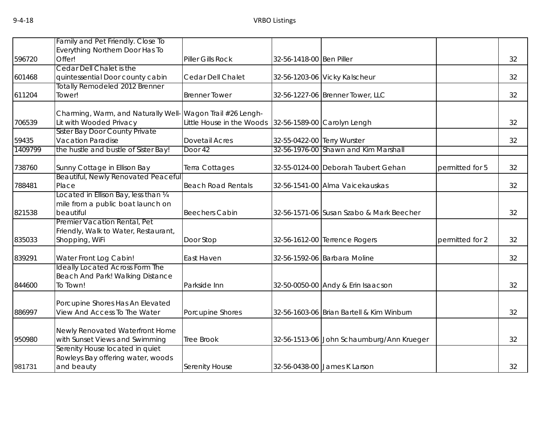|         | Family and Pet Friendly. Close To      |                           |                             |                                           |                 |    |
|---------|----------------------------------------|---------------------------|-----------------------------|-------------------------------------------|-----------------|----|
|         | Everything Northern Door Has To        |                           |                             |                                           |                 |    |
| 596720  | Offer!                                 | Piller Gills Rock         | 32-56-1418-00 Ben Piller    |                                           |                 | 32 |
|         | Cedar Dell Chalet is the               |                           |                             |                                           |                 |    |
| 601468  | quintessential Door county cabin       | Cedar Dell Chalet         |                             | 32-56-1203-06 Vicky Kalscheur             |                 | 32 |
|         | Totally Remodeled 2012 Brenner         |                           |                             |                                           |                 |    |
| 611204  | Tower!                                 | <b>Brenner Tower</b>      |                             | 32-56-1227-06 Brenner Tower, LLC          |                 | 32 |
|         | Charming, Warm, and Naturally Well     | Wagon Trail #26 Lengh-    |                             |                                           |                 |    |
| 706539  | Lit with Wooded Privacy                | Little House in the Woods |                             | 32-56-1589-00 Carolyn Lengh               |                 | 32 |
|         | Sister Bay Door County Private         |                           |                             |                                           |                 |    |
| 59435   | Vacation Paradise                      | <b>Dovetail Acres</b>     | 32-55-0422-00 Terry Wurster |                                           |                 | 32 |
| 1409799 | the hustle and bustle of Sister Bay!   | Door 42                   |                             | 32-56-1976-00 Shawn and Kim Marshall      |                 |    |
| 738760  | Sunny Cottage in Ellison Bay           | Terra Cottages            |                             | 32-55-0124-00 Deborah Taubert Gehan       | permitted for 5 | 32 |
|         | Beautiful, Newly Renovated Peaceful    |                           |                             |                                           |                 |    |
| 788481  | Place                                  | <b>Beach Road Rentals</b> |                             | 32-56-1541-00 Alma Vaicekauskas           |                 | 32 |
|         | ocated in Ellison Bay, less than 1/4   |                           |                             |                                           |                 |    |
|         | mile from a public boat launch on      |                           |                             |                                           |                 |    |
| 821538  | beautiful                              | <b>Beechers Cabin</b>     |                             | 32-56-1571-06 Susan Szabo & Mark Beecher  |                 | 32 |
|         | Premier Vacation Rental, Pet           |                           |                             |                                           |                 |    |
|         | Friendly, Walk to Water, Restaurant,   |                           |                             |                                           |                 |    |
| 835033  | Shopping, WiFi                         | Door Stop                 |                             | 32-56-1612-00 Terrence Rogers             | permitted for 2 | 32 |
| 839291  | Water Front Log Cabin!                 | East Haven                |                             | 32-56-1592-06 Barbara Moline              |                 | 32 |
|         | <b>Ideally Located Across Form The</b> |                           |                             |                                           |                 |    |
|         | Beach And Park! Walking Distance       |                           |                             |                                           |                 |    |
| 844600  | To Town!                               | Parkside Inn              |                             | 32-50-0050-00 Andy & Erin Isaacson        |                 | 32 |
|         | Porcupine Shores Has An Elevated       |                           |                             |                                           |                 |    |
| 886997  | View And Access To The Water           | Porcupine Shores          |                             | 32-56-1603-06 Brian Bartell & Kim Winburn |                 | 32 |
|         |                                        |                           |                             |                                           |                 |    |
|         | Newly Renovated Waterfront Home        |                           |                             |                                           |                 |    |
| 950980  | with Sunset Views and Swimming         | <b>Tree Brook</b>         |                             | 32-56-1513-06 John Schaumburg/Ann Krueger |                 | 32 |
|         | Serenity House located in quiet        |                           |                             |                                           |                 |    |
|         | Rowleys Bay offering water, woods      |                           |                             |                                           |                 |    |
| 981731  | and beauty                             | Serenity House            |                             | 32-56-0438-00 James K Larson              |                 | 32 |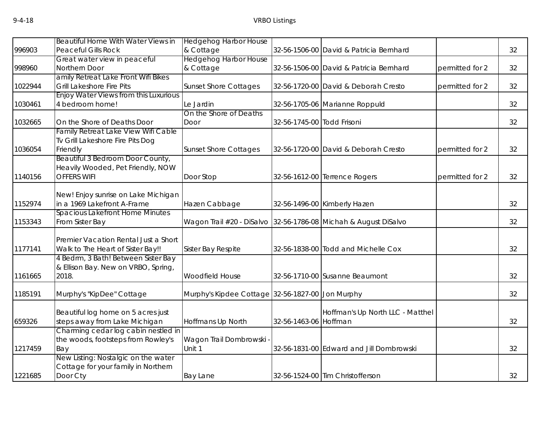|         | Beautiful Home With Water Views in                               | <b>Hedgehog Harbor House</b>                     |                            |                                          |                 |    |
|---------|------------------------------------------------------------------|--------------------------------------------------|----------------------------|------------------------------------------|-----------------|----|
| 996903  | <b>Peaceful Gills Rock</b>                                       | & Cottage                                        |                            | 32-56-1506-00 David & Patricia Bernhard  |                 | 32 |
|         | Great water view in peaceful                                     | <b>Hedgehog Harbor House</b>                     |                            |                                          |                 |    |
| 998960  | Northern Door                                                    | & Cottage                                        |                            | 32-56-1506-00 David & Patricia Bernhard  | permitted for 2 | 32 |
| 1022944 | amily Retreat Lake Front Wifi Bikes<br>Grill Lakeshore Fire Pits | <b>Sunset Shore Cottages</b>                     |                            | 32-56-1720-00 David & Deborah Cresto     | permitted for 2 | 32 |
|         | Enjoy Water Views from this Luxurious                            |                                                  |                            |                                          |                 |    |
| 1030461 | 4 bedroom home!                                                  | Le Jardin                                        |                            | 32-56-1705-06 Marianne Roppuld           |                 | 32 |
|         |                                                                  | On the Shore of Deaths                           |                            |                                          |                 |    |
| 1032665 | On the Shore of Deaths Door                                      | Door                                             | 32-56-1745-00 Todd Frisoni |                                          |                 | 32 |
|         | Family Retreat Lake View Wifi Cable                              |                                                  |                            |                                          |                 |    |
|         | Tv Grill Lakeshore Fire Pits Dog                                 |                                                  |                            |                                          |                 |    |
| 1036054 | Friendly                                                         | <b>Sunset Shore Cottages</b>                     |                            | 32-56-1720-00 David & Deborah Cresto     | permitted for 2 | 32 |
|         | Beautiful 3 Bedroom Door County,                                 |                                                  |                            |                                          |                 |    |
|         | Heavily Wooded, Pet Friendly, NOW                                |                                                  |                            |                                          |                 |    |
| 1140156 | <b>OFFERS WIFI</b>                                               | Door Stop                                        |                            | 32-56-1612-00 Terrence Rogers            | permitted for 2 | 32 |
|         |                                                                  |                                                  |                            |                                          |                 |    |
|         | New! Enjoy sunrise on Lake Michigan                              |                                                  |                            |                                          |                 |    |
| 1152974 | in a 1969 Lakefront A-Frame                                      | Hazen Cabbage                                    |                            | 32-56-1496-00 Kimberly Hazen             |                 | 32 |
|         | Spacious Lakefront Home Minutes                                  |                                                  |                            |                                          |                 |    |
| 1153343 | From Sister Bay                                                  | Wagon Trail #20 - DiSalvo                        |                            | 32-56-1786-08 Michah & August DiSalvo    |                 | 32 |
|         |                                                                  |                                                  |                            |                                          |                 |    |
|         | Premier Vacation Rental Just a Short                             |                                                  |                            |                                          |                 |    |
| 1177141 | Walk to The Heart of Sister Bay!!                                | Sister Bay Respite                               |                            | 32-56-1838-00 Todd and Michelle Cox      |                 | 32 |
|         | 4 Bedrm, 3 Bath! Between Sister Bay                              |                                                  |                            |                                          |                 |    |
|         | & Ellison Bay. New on VRBO, Spring,                              |                                                  |                            |                                          |                 |    |
| 1161665 | 2018.                                                            | Woodfield House                                  |                            | 32-56-1710-00 Susanne Beaumont           |                 | 32 |
| 1185191 | Murphy's "KipDee" Cottage                                        | Murphy's Kipdee Cottage 32-56-1827-00 Jon Murphy |                            |                                          |                 | 32 |
|         |                                                                  |                                                  |                            |                                          |                 |    |
|         | Beautiful log home on 5 acres just                               |                                                  |                            | Hoffman's Up North LLC - Matthel         |                 |    |
| 659326  | steps away from Lake Michigan                                    | Hoffmans Up North                                | 32-56-1463-06 Hoffman      |                                          |                 | 32 |
|         | Charming cedar log cabin nestled in                              |                                                  |                            |                                          |                 |    |
|         | the woods, footsteps from Rowley's                               | Wagon Trail Dombrowski                           |                            |                                          |                 |    |
| 1217459 | Bay                                                              | Unit 1                                           |                            | 32-56-1831-00 Edward and Jill Dombrowski |                 | 32 |
|         | New Listing: Nostalgic on the water                              |                                                  |                            |                                          |                 |    |
|         | Cottage for your family in Northern                              |                                                  |                            |                                          |                 |    |
| 1221685 | Door Cty                                                         | <b>Bay Lane</b>                                  |                            | 32-56-1524-00 Tim Christofferson         |                 | 32 |
|         |                                                                  |                                                  |                            |                                          |                 |    |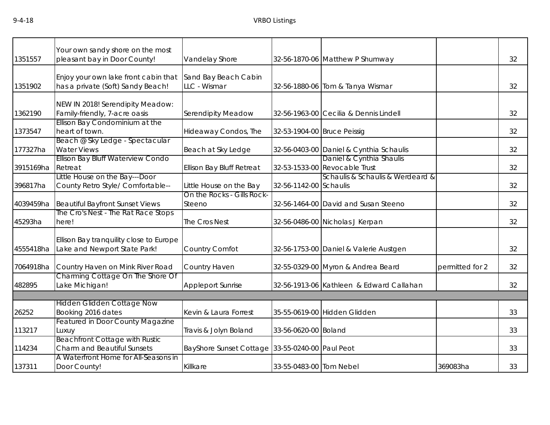| 1351557   | Your own sandy shore on the most<br>pleasant bay in Door County!            | Vandelay Shore                                  |                             | 32-56-1870-06 Matthew P Shumway                           |                 | 32 |
|-----------|-----------------------------------------------------------------------------|-------------------------------------------------|-----------------------------|-----------------------------------------------------------|-----------------|----|
| 1351902   | Enjoy your own lake front cabin that<br>has a private (Soft) Sandy Beach!   | Sand Bay Beach Cabin<br>LLC - Wismar            |                             | 32-56-1880-06 Tom & Tanya Wismar                          |                 | 32 |
| 1362190   | NEW IN 2018! Serendipity Meadow:<br>Family-friendly, 7-acre oasis           | <b>Serendipity Meadow</b>                       |                             | 32-56-1963-00 Cecilia & Dennis Lindell                    |                 | 32 |
| 1373547   | Ellison Bay Condominium at the<br>heart of town.                            | Hideaway Condos, The                            | 32-53-1904-00 Bruce Peissig |                                                           |                 | 32 |
| 177327ha  | Beach @ Sky Ledge - Spectacular<br><b>Water Views</b>                       | Beach at Sky Ledge                              |                             | 32-56-0403-00 Daniel & Cynthia Schaulis                   |                 | 32 |
| 3915169ha | Ellison Bay Bluff Waterview Condo<br>Retreat                                | Ellison Bay Bluff Retreat                       |                             | Daniel & Cynthia Shaulis<br>32-53-1533-00 Revocable Trust |                 | 32 |
| 396817ha  | Little House on the Bay---Door<br>County Retro Style/ Comfortable--         | Little House on the Bay                         | 32-56-1142-00 Schaulis      | Schaulis & Schaulis & Werdeard &                          |                 | 32 |
| 4039459ha | <b>Beautiful Bayfront Sunset Views</b>                                      | On the Rocks - Gills Rock-<br>Steeno            |                             | 32-56-1464-00 David and Susan Steeno                      |                 | 32 |
| 45293ha   | The Cro's Nest - The Rat Race Stops<br>here!                                | The Cros Nest                                   |                             | 32-56-0486-00 Nicholas J Kerpan                           |                 | 32 |
| 4555418ha | Ellison Bay tranquility close to Europe<br>Lake and Newport State Park!     | Country Comfot                                  |                             | 32-56-1753-00 Daniel & Valerie Austgen                    |                 | 32 |
| 7064918ha | Country Haven on Mink River Road                                            | Country Haven                                   |                             | 32-55-0329-00 Myron & Andrea Beard                        | permitted for 2 | 32 |
| 482895    | Charming Cottage On The Shore Of<br>Lake Michigan!                          | <b>Appleport Sunrise</b>                        |                             | 32-56-1913-06 Kathleen & Edward Callahan                  |                 | 32 |
|           |                                                                             |                                                 |                             |                                                           |                 |    |
| 26252     | Hidden Glidden Cottage Now<br>Booking 2016 dates                            | Kevin & Laura Forrest                           |                             | 35-55-0619-00 Hidden Glidden                              |                 | 33 |
| 113217    | <b>Featured in Door County Magazine</b><br>Luxuy                            | Travis & Jolyn Boland                           | 33-56-0620-00 Boland        |                                                           |                 | 33 |
| 114234    | <b>Beachfront Cottage with Rustic</b><br><b>Charm and Beautiful Sunsets</b> | BayShore Sunset Cottage 33-55-0240-00 Paul Peot |                             |                                                           |                 | 33 |
| 137311    | A Waterfront Home for All-Seasons in<br>Door County!                        | Killkare                                        | 33-55-0483-00 Tom Nebel     |                                                           | 369083ha        | 33 |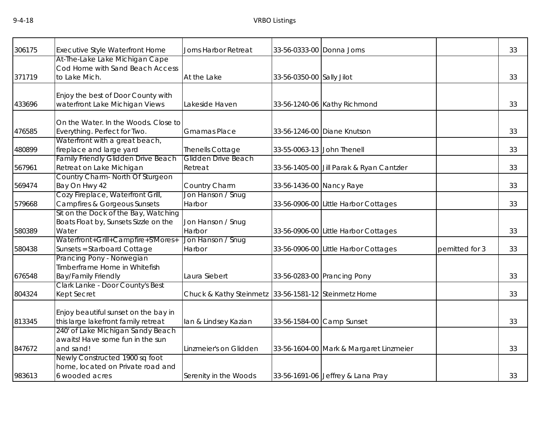| 306175 | Executive Style Waterfront Home                                                          | Jorns Harbor Retreat                                 | 33-56-0333-00 Donna Jorns  |                                          |                | 33 |
|--------|------------------------------------------------------------------------------------------|------------------------------------------------------|----------------------------|------------------------------------------|----------------|----|
| 371719 | At-The-Lake Lake Michigan Cape<br>Cod Home with Sand Beach Access<br>to Lake Mich.       | At the Lake                                          | 33-56-0350-00 Sally Jilot  |                                          |                | 33 |
| 433696 | Enjoy the best of Door County with<br>waterfront Lake Michigan Views                     | Lakeside Haven                                       |                            | 33-56-1240-06 Kathy Richmond             |                | 33 |
| 476585 | On the Water. In the Woods. Close to<br>Everything. Perfect for Two.                     | <b>Gmamas Place</b>                                  |                            | 33-56-1246-00 Diane Knutson              |                | 33 |
| 480899 | Waterfront with a great beach,<br>fireplace and large yard                               | Thenells Cottage                                     | 33-55-0063-13 John Thenell |                                          |                | 33 |
| 567961 | Family Friendly Glidden Drive Beach<br>Retreat on Lake Michigan                          | Glidden Drive Beach<br>Retreat                       |                            | 33-56-1405-00 Jill Parak & Ryan Cantzler |                | 33 |
| 569474 | Country Charm- North Of Sturgeon<br>Bay On Hwy 42                                        | Country Charm                                        | 33-56-1436-00 Nancy Raye   |                                          |                | 33 |
| 579668 | Cozy Fireplace, Waterfront Grill,<br>Campfires & Gorgeous Sunsets                        | Jon Hanson / Snug<br>Harbor                          |                            | 33-56-0906-00 Little Harbor Cottages     |                | 33 |
| 580389 | Sit on the Dock of the Bay, Watching<br>Boats Float by, Sunsets Sizzle on the<br>Water   | Jon Hanson / Snug<br>Harbor                          |                            | 33-56-0906-00 Little Harbor Cottages     |                | 33 |
| 580438 | Waterfront+Grill+Campfire+S'Mores+<br>Sunsets = Starboard Cottage                        | Jon Hanson / Snug<br>Harbor                          |                            | 33-56-0906-00 Little Harbor Cottages     | pemitted for 3 | 33 |
| 676548 | Prancing Pony - Norwegian<br>Timberframe Home in Whitefish<br><b>Bay/Family Friendly</b> | Laura Siebert                                        |                            | 33-56-0283-00 Prancing Pony              |                | 33 |
| 804324 | Clark Lanke - Door County's Best<br>Kept Secret                                          | Chuck & Kathy Steinmetz 33-56-1581-12 Steinmetz Home |                            |                                          |                | 33 |
| 813345 | Enjoy beautiful sunset on the bay in<br>this large lakefront family retreat              | lan & Lindsey Kazian                                 |                            | 33-56-1584-00 Camp Sunset                |                | 33 |
| 847672 | 240' of Lake Michigan Sandy Beach<br>awaits! Have some fun in the sun<br>and sand!       | Linzmeier's on Glidden                               |                            | 33-56-1604-00 Mark & Margaret Linzmeier  |                | 33 |
| 983613 | Newly Constructed 1900 sq foot<br>home, located on Private road and<br>6 wooded acres    | Serenity in the Woods                                |                            | 33-56-1691-06 Jeffrey & Lana Pray        |                | 33 |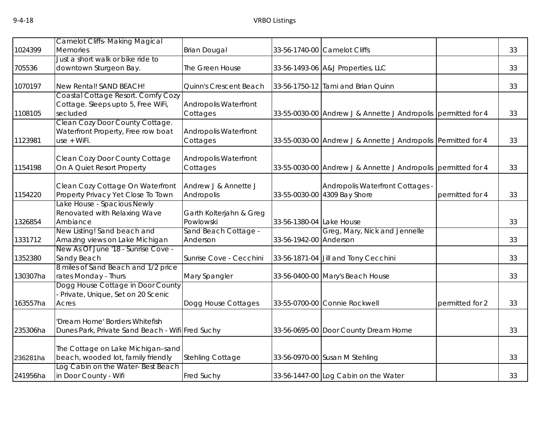|          | <b>Camelot Cliffs- Making Magical</b>                                                |                                      |                          |                                                                  |                 |    |
|----------|--------------------------------------------------------------------------------------|--------------------------------------|--------------------------|------------------------------------------------------------------|-----------------|----|
| 1024399  | <b>Memories</b>                                                                      | <b>Brian Dougal</b>                  |                          | 33-56-1740-00 Camelot Cliffs                                     |                 | 33 |
| 705536   | Just a short walk or bike ride to<br>downtown Sturgeon Bay.                          | The Green House                      |                          | 33-56-1493-06 A&J Properties, LLC                                |                 | 33 |
| 1070197  | New Rental! SAND BEACH!                                                              | Quinn's Crescent Beach               |                          | 33-56-1750-12 Tami and Brian Quinn                               |                 | 33 |
| 1108105  | Coastal Cottage Resort. Comfy Cozy<br>Cottage. Sleeps upto 5, Free WiFi,<br>secluded | Andropolis Waterfront<br>Cottages    |                          | 33-55-0030-00 Andrew J & Annette J Andropolis permitted for 4    |                 | 33 |
| 1123981  | Clean Cozy Door County Cottage.<br>Waterfront Property, Free row boat<br>use + WiFi. | Andropolis Waterfront<br>Cottages    |                          | 33-55-0030-00 Andrew J & Annette J Andropolis Permitted for 4    |                 | 33 |
| 1154198  | Clean Cozy Door County Cottage<br>On A Quiet Resort Property                         | Andropolis Waterfront<br>Cottages    |                          | 33-55-0030-00 Andrew J & Annette J Andropolis permitted for 4    |                 | 33 |
| 1154220  | Clean Cozy Cottage On Waterfront<br>Property Privacy Yet Close To Town               | Andrew J & Annette J<br>Andropolis   |                          | Andropolis Waterfront Cottages -<br>33-55-0030-00 4309 Bay Shore | permitted for 4 | 33 |
| 1326854  | ake House - Spacious Newly<br>Renovated with Relaxing Wave<br>Ambiance               | Garth Kolterjahn & Greg<br>Powlowski | 33-56-1380-04 Lake House |                                                                  |                 | 33 |
| 1331712  | New Listing! Sand beach and<br>Amazing views on Lake Michigan                        | Sand Beach Cottage -<br>Anderson     | 33-56-1942-00 Anderson   | Greg, Mary, Nick and Jennelle                                    |                 | 33 |
| 1352380  | New As Of June '18 - Sunrise Cove -<br>Sandy Beach                                   | Sunrise Cove - Cecchini              |                          | 33-56-1871-04 Jill and Tony Cecchini                             |                 | 33 |
| 130307ha | 8 miles of Sand Beach and 1/2 price<br>rates Monday - Thurs                          | Mary Spangler                        |                          | 33-56-0400-00 Mary's Beach House                                 |                 | 33 |
| 163557ha | Dogg House Cottage in Door County<br>- Private, Unique, Set on 20 Scenic<br>Acres    | Dogg House Cottages                  |                          | 33-55-0700-00 Connie Rockwell                                    | permitted for 2 | 33 |
| 235306ha | 'Dream Home' Borders Whitefish<br>Dunes Park, Private Sand Beach - Wifi Fred Suchy   |                                      |                          | 33-56-0695-00 Door County Dream Home                             |                 | 33 |
| 236281ha | The Cottage on Lake Michigan-sand<br>beach, wooded lot, family friendly              | <b>Stehling Cottage</b>              |                          | 33-56-0970-00 Susan M Stehling                                   |                 | 33 |
| 241956ha | Log Cabin on the Water-Best Beach<br>in Door County - Wifi                           | <b>Fred Suchy</b>                    |                          | 33-56-1447-00 Log Cabin on the Water                             |                 | 33 |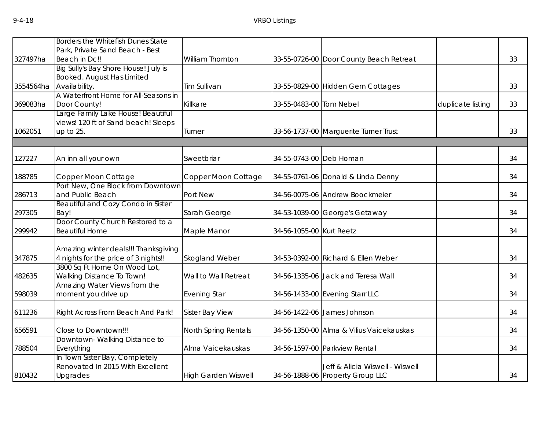|           | Borders the Whitefish Dunes State    |                            |                          |                                          |                   |    |
|-----------|--------------------------------------|----------------------------|--------------------------|------------------------------------------|-------------------|----|
|           | Park, Private Sand Beach - Best      |                            |                          |                                          |                   |    |
| 327497ha  | Beach in Dc!!                        | <b>William Thornton</b>    |                          | 33-55-0726-00 Door County Beach Retreat  |                   | 33 |
|           | Big Sully's Bay Shore House! July is |                            |                          |                                          |                   |    |
|           | Booked. August Has Limited           |                            |                          |                                          |                   |    |
| 3554564ha | Availability.                        | Tim Sullivan               |                          | 33-55-0829-00 Hidden Gem Cottages        |                   | 33 |
|           | A Waterfront Home for All-Seasons in |                            |                          |                                          |                   |    |
| 369083ha  | Door County!                         | Killkare                   | 33-55-0483-00 Tom Nebel  |                                          | duplicate listing | 33 |
|           | Large Family Lake House! Beautiful   |                            |                          |                                          |                   |    |
|           | views! 120 ft of Sand beach! Sleeps  |                            |                          |                                          |                   |    |
| 1062051   | up to 25.                            | Turner                     |                          | 33-56-1737-00 Marguerite Turner Trust    |                   | 33 |
|           |                                      |                            |                          |                                          |                   |    |
| 127227    | An inn all your own                  | Sweetbriar                 | 34-55-0743-00 Deb Homan  |                                          |                   | 34 |
| 188785    | Copper Moon Cottage                  | Copper Moon Cottage        |                          | 34-55-0761-06 Donald & Linda Denny       |                   | 34 |
|           | Port New, One Block from Downtown    |                            |                          |                                          |                   |    |
| 286713    | and Public Beach                     | Port New                   |                          | 34-56-0075-06 Andrew Boockmeier          |                   | 34 |
|           | Beautiful and Cozy Condo in Sister   |                            |                          |                                          |                   |    |
| 297305    | Bay!                                 | Sarah George               |                          | 34-53-1039-00 George's Getaway           |                   | 34 |
|           | Door County Church Restored to a     |                            |                          |                                          |                   |    |
| 299942    | <b>Beautiful Home</b>                | Maple Manor                | 34-56-1055-00 Kurt Reetz |                                          |                   | 34 |
|           | Amazing winter deals!!! Thanksgiving |                            |                          |                                          |                   |    |
| 347875    | 4 nights for the price of 3 nights!! | Skogland Weber             |                          | 34-53-0392-00 Richard & Ellen Weber      |                   | 34 |
|           | 3800 Sq Ft Home On Wood Lot,         |                            |                          |                                          |                   |    |
| 482635    | Walking Distance To Town!            | Wall to Wall Retreat       |                          | 34-56-1335-06 Jack and Teresa Wall       |                   | 34 |
|           | Amazing Water Views from the         |                            |                          |                                          |                   |    |
| 598039    | moment you drive up                  | <b>Evening Star</b>        |                          | 34-56-1433-00 Evening Starr LLC          |                   | 34 |
| 611236    | Right Across From Beach And Park!    | Sister Bay View            |                          | 34-56-1422-06 James Johnson              |                   | 34 |
|           |                                      |                            |                          |                                          |                   |    |
| 656591    | Close to Downtown!!!                 | North Spring Rentals       |                          | 34-56-1350-00 Alma & Vilius Vaicekauskas |                   | 34 |
|           | Downtown-Walking Distance to         |                            |                          |                                          |                   |    |
| 788504    | Everything                           | Alma Vaicekauskas          |                          | 34-56-1597-00 Parkview Rental            |                   | 34 |
|           | In Town Sister Bay, Completely       |                            |                          |                                          |                   |    |
|           | Renovated In 2015 With Excellent     |                            |                          | Jeff & Alicia Wiswell - Wiswell          |                   |    |
| 810432    | Upgrades                             | <b>High Garden Wiswell</b> |                          | 34-56-1888-06 Property Group LLC         |                   | 34 |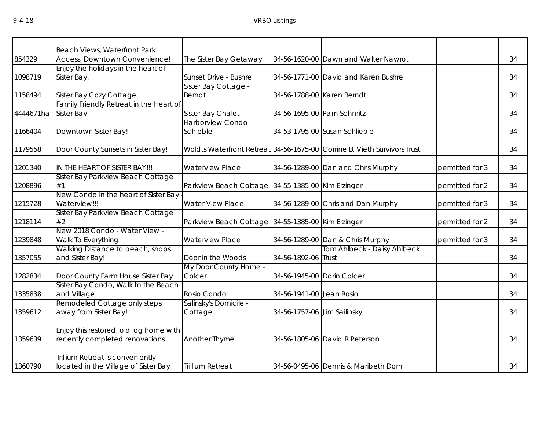| 854329    | Beach Views, Waterfront Park<br>Access, Downtown Convenience!            | The Sister Bay Getaway                            |                             | 34-56-1620-00 Dawn and Walter Nawrot                                     |                 | 34 |
|-----------|--------------------------------------------------------------------------|---------------------------------------------------|-----------------------------|--------------------------------------------------------------------------|-----------------|----|
|           | Enjoy the holidays in the heart of                                       |                                                   |                             |                                                                          |                 |    |
| 1098719   | Sister Bay.                                                              | Sunset Drive - Bushre                             |                             | 34-56-1771-00 David and Karen Bushre                                     |                 | 34 |
|           |                                                                          | Sister Bay Cottage -                              |                             |                                                                          |                 |    |
| 1158494   | Sister Bay Cozy Cottage                                                  | Berndt                                            | 34-56-1788-00 Karen Berndt  |                                                                          |                 | 34 |
|           | Family Friendly Retreat in the Heart of                                  |                                                   |                             |                                                                          |                 |    |
| 4444671ha | Sister Bay                                                               | Sister Bay Chalet                                 | 34-56-1695-00 Pam Schmitz   |                                                                          |                 | 34 |
|           |                                                                          | Harborview Condo -                                |                             |                                                                          |                 |    |
| 1166404   | Downtown Sister Bay!                                                     | Schieble                                          |                             | 34-53-1795-00 Susan Schlieble                                            |                 | 34 |
|           |                                                                          |                                                   |                             |                                                                          |                 |    |
| 1179558   | Door County Sunsets in Sister Bay!                                       |                                                   |                             | Woldts Waterfront Retreat 34-56-1675-00 Corrine B. Vieth Survivors Trust |                 | 34 |
|           |                                                                          |                                                   |                             |                                                                          |                 |    |
| 1201340   | IN THE HEART OF SISTER BAY!!!                                            | <b>Waterview Place</b>                            |                             | 34-56-1289-00 Dan and Chris Murphy                                       | permitted for 3 | 34 |
|           | Sister Bay Parkview Beach Cottage                                        |                                                   |                             |                                                                          |                 |    |
| 1208896   | #1                                                                       | Parkview Beach Cottage 34-55-1385-00 Kim Erzinger |                             |                                                                          | permitted for 2 | 34 |
|           | New Condo in the heart of Sister Bay                                     |                                                   |                             |                                                                          |                 |    |
| 1215728   | Waterview!!!                                                             | <b>Water View Place</b>                           |                             | 34-56-1289-00 Chris and Dan Murphy                                       | permitted for 3 | 34 |
|           | Sister Bay Parkview Beach Cottage                                        |                                                   |                             |                                                                          |                 |    |
| 1218114   | #2                                                                       | Parkview Beach Cottage 34-55-1385-00 Kim Erzinger |                             |                                                                          | permitted for 2 | 34 |
|           | New 2018 Condo - Water View -                                            |                                                   |                             |                                                                          |                 |    |
| 1239848   | Walk To Everything                                                       | <b>Waterview Place</b>                            |                             | 34-56-1289-00 Dan & Chris Murphy                                         | permitted for 3 | 34 |
|           | Walking Distance to beach, shops                                         |                                                   |                             | Tom Ahlbeck - Daisy Ahlbeck                                              |                 |    |
| 1357055   | and Sister Bay!                                                          | Door in the Woods                                 | 34-56-1892-06 Trust         |                                                                          |                 | 34 |
|           |                                                                          | My Door County Home -<br>Colcer                   |                             |                                                                          |                 | 34 |
| 1282834   | Door County Farm House Sister Bay<br>Sister Bay Condo, Walk to the Beach |                                                   | 34-56-1945-00 Dorin Colcer  |                                                                          |                 |    |
| 1335838   | and Village                                                              | Rosio Condo                                       | 34-56-1941-00 Jean Rosio    |                                                                          |                 | 34 |
|           | Remodeled Cottage only steps                                             | Salinsky's Domicile -                             |                             |                                                                          |                 |    |
| 1359612   | away from Sister Bay!                                                    | Cottage                                           | 34-56-1757-06 Jim Sailinsky |                                                                          |                 | 34 |
|           |                                                                          |                                                   |                             |                                                                          |                 |    |
|           | Enjoy this restored, old log home with                                   |                                                   |                             |                                                                          |                 |    |
| 1359639   | recently completed renovations                                           | Another Thyme                                     |                             | 34-56-1805-06 David R Peterson                                           |                 | 34 |
|           |                                                                          |                                                   |                             |                                                                          |                 |    |
|           | Trillium Retreat is conveniently                                         |                                                   |                             |                                                                          |                 |    |
| 1360790   | located in the Village of Sister Bay                                     | <b>Trillium Retreat</b>                           |                             | 34-56-0495-06 Dennis & Maribeth Dorn                                     |                 | 34 |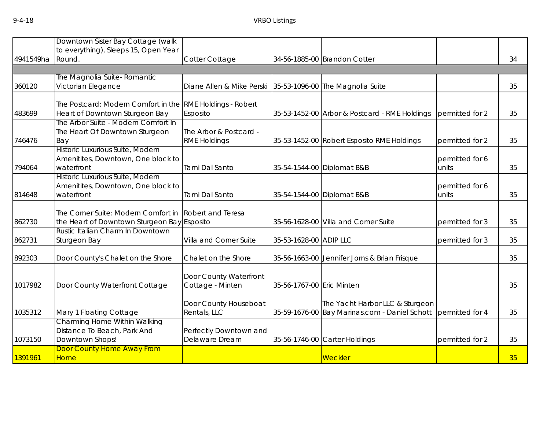| 4941549ha | Downtown Sister Bay Cottage (walk<br>to everything), Sleeps 15, Open Year<br>Round.         | Cotter Cottage                                |                           | 34-56-1885-00 Brandon Cotter                                                     |                          | 34 |
|-----------|---------------------------------------------------------------------------------------------|-----------------------------------------------|---------------------------|----------------------------------------------------------------------------------|--------------------------|----|
|           |                                                                                             |                                               |                           |                                                                                  |                          |    |
| 360120    | The Magnolia Suite- Romantic<br>Victorian Elegance                                          | Diane Allen & Mike Perski                     |                           | 35-53-1096-00 The Magnolia Suite                                                 |                          | 35 |
| 483699    | The Postcard: Modern Comfort in the RME Holdings - Robert<br>Heart of Downtown Sturgeon Bay | Esposito                                      |                           | 35-53-1452-00 Arbor & Postcard - RME Holdings                                    | permitted for 2          | 35 |
| 746476    | The Arbor Suite - Modern Comfort In<br>The Heart Of Downtown Sturgeon<br>Bay                | The Arbor & Postcard -<br><b>RME Holdings</b> |                           | 35-53-1452-00 Robert Esposito RME Holdings                                       | permitted for 2          | 35 |
| 794064    | Historic Luxurious Suite, Modern<br>Amenitites, Downtown, One block to<br>waterfront        | Tami Dal Santo                                |                           | 35-54-1544-00 Diplomat B&B                                                       | permitted for 6<br>units | 35 |
| 814648    | Historic Luxurious Suite, Modern<br>Amenitites, Downtown, One block to<br>waterfront        | Tami Dal Santo                                |                           | 35-54-1544-00 Diplomat B&B                                                       | permitted for 6<br>units | 35 |
| 862730    | The Corner Suite: Modern Comfort in<br>the Heart of Downtown Sturgeon Bay Esposito          | <b>Robert and Teresa</b>                      |                           | 35-56-1628-00 Villa and Corner Suite                                             | permitted for 3          | 35 |
| 862731    | Rustic Italian Charm In Downtown<br>Sturgeon Bay                                            | Villa and Corner Suite                        | 35-53-1628-00 ADIP LLC    |                                                                                  | permitted for 3          | 35 |
| 892303    | Door County's Chalet on the Shore                                                           | Chalet on the Shore                           |                           | 35-56-1663-00 Jennifer Jorns & Brian Frisque                                     |                          | 35 |
| 1017982   | Door County Waterfront Cottage                                                              | Door County Waterfront<br>Cottage - Minten    | 35-56-1767-00 Eric Minten |                                                                                  |                          | 35 |
| 1035312   | Mary 1 Floating Cottage                                                                     | Door County Houseboat<br>Rentals, LLC         |                           | The Yacht Harbor LLC & Sturgeon<br>35-59-1676-00 Bay Marinas.com - Daniel Schott | permitted for 4          | 35 |
| 1073150   | Charming Home Within Walking<br>Distance To Beach, Park And<br>Downtown Shops!              | Perfectly Downtown and<br>Delaware Dream      |                           | 35-56-1746-00 Carter Holdings                                                    | permitted for 2          | 35 |
| 1391961   | Door County Home Away From<br>Home                                                          |                                               |                           | Weckler                                                                          |                          | 35 |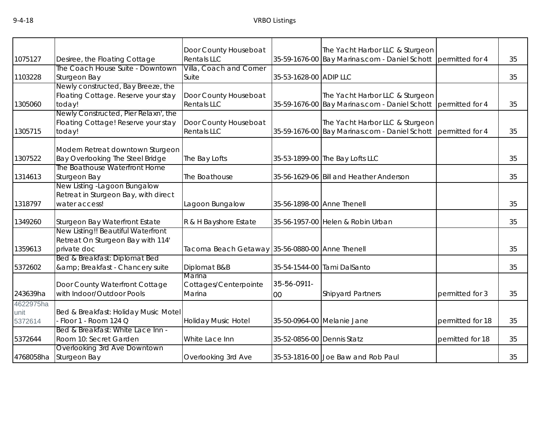| 1075127   | Desiree, the Floating Cottage        | Door County Houseboat<br><b>Rentals LLC</b>     |                            | The Yacht Harbor LLC & Sturgeon<br>35-59-1676-00 Bay Marinas.com - Daniel Schott permitted for 4 |                  | 35 |
|-----------|--------------------------------------|-------------------------------------------------|----------------------------|--------------------------------------------------------------------------------------------------|------------------|----|
|           | The Coach House Suite - Downtown     | Villa, Coach and Corner                         |                            |                                                                                                  |                  |    |
| 1103228   | Sturgeon Bay                         | Suite                                           | 35-53-1628-00 ADIP LLC     |                                                                                                  |                  | 35 |
|           | Newly constructed, Bay Breeze, the   |                                                 |                            |                                                                                                  |                  |    |
|           | Floating Cottage. Reserve your stay  | Door County Houseboat                           |                            | The Yacht Harbor LLC & Sturgeon                                                                  |                  |    |
| 1305060   | today!                               | <b>Rentals LLC</b>                              |                            | 35-59-1676-00 Bay Marinas.com - Daniel Schott permitted for 4                                    |                  | 35 |
|           | Newly Constructed, Pier Relaxn', the |                                                 |                            |                                                                                                  |                  |    |
|           |                                      |                                                 |                            |                                                                                                  |                  |    |
|           | Floating Cottage! Reserve your stay  | Door County Houseboat                           |                            | The Yacht Harbor LLC & Sturgeon                                                                  |                  |    |
| 1305715   | today!                               | <b>Rentals LLC</b>                              |                            | 35-59-1676-00 Bay Marinas.com - Daniel Schott permitted for 4                                    |                  | 35 |
|           |                                      |                                                 |                            |                                                                                                  |                  |    |
|           | Modern Retreat downtown Sturgeon     |                                                 |                            |                                                                                                  |                  |    |
| 1307522   | Bay Overlooking The Steel Bridge     | The Bay Lofts                                   |                            | 35-53-1899-00 The Bay Lofts LLC                                                                  |                  | 35 |
|           | The Boathouse Waterfront Home        |                                                 |                            |                                                                                                  |                  |    |
| 1314613   | Sturgeon Bay                         | The Boathouse                                   |                            | 35-56-1629-06 Bill and Heather Anderson                                                          |                  | 35 |
|           | New Listing - Lagoon Bungalow        |                                                 |                            |                                                                                                  |                  |    |
|           | Retreat in Sturgeon Bay, with direct |                                                 |                            |                                                                                                  |                  |    |
| 1318797   | water access!                        | Lagoon Bungalow                                 | 35-56-1898-00 Anne Thenell |                                                                                                  |                  | 35 |
|           |                                      |                                                 |                            |                                                                                                  |                  |    |
| 1349260   | Sturgeon Bay Waterfront Estate       | R & H Bayshore Estate                           |                            | 35-56-1957-00 Helen & Robin Urban                                                                |                  | 35 |
|           | New Listing!! Beautiful Waterfront   |                                                 |                            |                                                                                                  |                  |    |
|           | Retreat On Sturgeon Bay with 114'    |                                                 |                            |                                                                                                  |                  |    |
| 1359613   | private doc                          | Tacoma Beach Getaway 35-56-0880-00 Anne Thenell |                            |                                                                                                  |                  | 35 |
|           | Bed & Breakfast: Diplomat Bed        |                                                 |                            |                                                                                                  |                  |    |
| 5372602   | & Breakfast - Chancery suite         | Diplomat B&B                                    |                            | 35-54-1544-00 Tami DalSanto                                                                      |                  | 35 |
|           |                                      | Marina                                          |                            |                                                                                                  |                  |    |
|           | Door County Waterfront Cottage       | Cottages/Centerpointe                           | 35-56-0911-                |                                                                                                  |                  |    |
| 243639ha  | with Indoor/Outdoor Pools            | Marina                                          |                            | <b>Shipyard Partners</b>                                                                         | permitted for 3  | 35 |
|           |                                      |                                                 | 00                         |                                                                                                  |                  |    |
| 4622975ha |                                      |                                                 |                            |                                                                                                  |                  |    |
| unit      | Bed & Breakfast: Holiday Music Motel |                                                 |                            |                                                                                                  |                  |    |
| 5372614   | Floor 1 - Room 124 Q                 | Holiday Music Hotel                             |                            | 35-50-0964-00 Melanie Jane                                                                       | permitted for 18 | 35 |
|           | Bed & Breakfast: White Lace Inn -    |                                                 |                            |                                                                                                  |                  |    |
| 5372644   | Room 10: Secret Garden               | White Lace Inn                                  | 35-52-0856-00 Dennis Statz |                                                                                                  | pemitted for 18  | 35 |
|           | Overlooking 3rd Ave Downtown         |                                                 |                            |                                                                                                  |                  |    |
| 4768058ha | Sturgeon Bay                         | Overlooking 3rd Ave                             |                            | 35-53-1816-00 Joe Baw and Rob Paul                                                               |                  | 35 |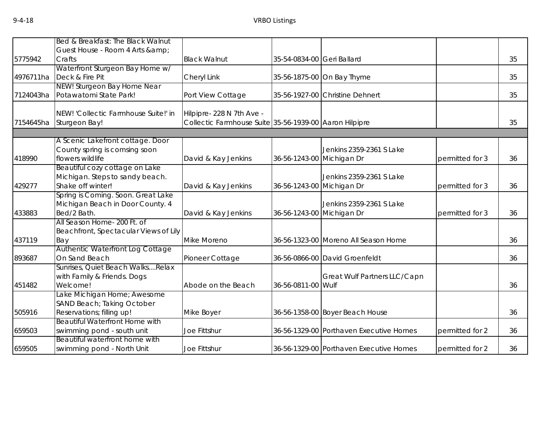|           | Bed & Breakfast: The Black Walnut                                 |                                                        |                            |                                         |                 |    |
|-----------|-------------------------------------------------------------------|--------------------------------------------------------|----------------------------|-----------------------------------------|-----------------|----|
|           | Guest House - Room 4 Arts & amp;                                  |                                                        |                            |                                         |                 |    |
| 5775942   | Crafts                                                            | <b>Black Walnut</b>                                    | 35-54-0834-00 Geri Ballard |                                         |                 | 35 |
|           | Waterfront Sturgeon Bay Home w/                                   |                                                        |                            |                                         |                 |    |
| 4976711ha | Deck & Fire Pit                                                   | Cheryl Link                                            |                            | 35-56-1875-00 On Bay Thyme              |                 | 35 |
|           | NEW! Sturgeon Bay Home Near                                       |                                                        |                            |                                         |                 |    |
| 7124043ha | Potawatomi State Park!                                            | Port View Cottage                                      |                            | 35-56-1927-00 Christine Dehnert         |                 | 35 |
|           | NEW! 'Collectic Farmhouse Suite!' in                              | Hilpipre-228 N 7th Ave -                               |                            |                                         |                 |    |
| 7154645ha | Sturgeon Bay!                                                     | Collectic Farmhouse Suite 35-56-1939-00 Aaron Hilpipre |                            |                                         |                 | 35 |
|           |                                                                   |                                                        |                            |                                         |                 |    |
|           | A Scenic Lakefront cottage. Door                                  |                                                        |                            |                                         |                 |    |
|           | County spring is comsing soon<br>flowers wildlife                 |                                                        |                            | Jenkins 2359-2361 S Lake                |                 |    |
| 418990    |                                                                   | David & Kay Jenkins                                    | 36-56-1243-00 Michigan Dr  |                                         | permitted for 3 | 36 |
|           | Beautiful cozy cottage on Lake<br>Michigan. Steps to sandy beach. |                                                        |                            | Jenkins 2359-2361 S Lake                |                 |    |
| 429277    | Shake off winter!                                                 | David & Kay Jenkins                                    | 36-56-1243-00 Michigan Dr  |                                         | permitted for 3 | 36 |
|           | Spring is Coming. Soon. Great Lake                                |                                                        |                            |                                         |                 |    |
|           | Michigan Beach in Door County. 4                                  |                                                        |                            | Jenkins 2359-2361 S Lake                |                 |    |
| 433883    | Bed/2 Bath.                                                       | David & Kay Jenkins                                    | 36-56-1243-00 Michigan Dr  |                                         | permitted for 3 | 36 |
|           | All Season Home- 200 Ft. of                                       |                                                        |                            |                                         |                 |    |
|           | Beachfront, Spectacular Views of Lily                             |                                                        |                            |                                         |                 |    |
| 437119    | Bay                                                               | Mike Moreno                                            |                            | 36-56-1323-00 Moreno All Season Home    |                 | 36 |
|           | Authentic Waterfront Log Cottage                                  |                                                        |                            |                                         |                 |    |
| 893687    | On Sand Beach                                                     | Pioneer Cottage                                        |                            | 36-56-0866-00 David Groenfeldt          |                 | 36 |
|           | Sunrises, Quiet Beach WalksRelax                                  |                                                        |                            |                                         |                 |    |
|           | with Family & Friends. Dogs                                       |                                                        |                            | Great Wulf Partners LLC/Capn            |                 |    |
| 451482    | Welcome!                                                          | Abode on the Beach                                     | 36-56-0811-00 Wulf         |                                         |                 | 36 |
|           | Lake Michigan Home; Awesome                                       |                                                        |                            |                                         |                 |    |
|           | SAND Beach; Taking October                                        |                                                        |                            |                                         |                 |    |
| 505916    | Reservations; filling up!                                         | Mike Boyer                                             |                            | 36-56-1358-00 Boyer Beach House         |                 | 36 |
|           | <b>Beautiful Waterfront Home with</b>                             |                                                        |                            |                                         |                 |    |
| 659503    | swimming pond - south unit                                        | Joe Fittshur                                           |                            | 36-56-1329-00 Porthaven Executive Homes | permitted for 2 | 36 |
| 659505    | Beautiful waterfront home with<br>swimming pond - North Unit      | Joe Fittshur                                           |                            | 36-56-1329-00 Porthaven Executive Homes | permitted for 2 | 36 |
|           |                                                                   |                                                        |                            |                                         |                 |    |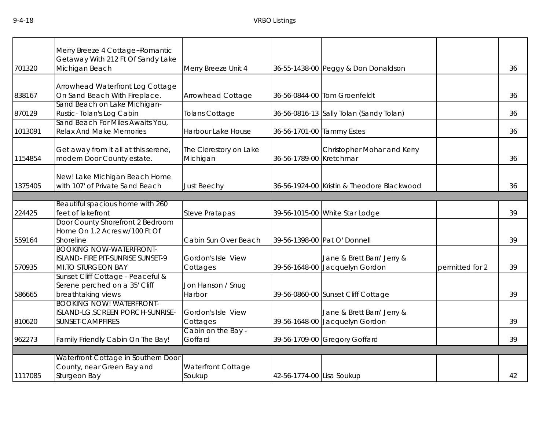|         | Merry Breeze 4 Cottage~Romantic                                                                  |                                    |                           |                                                |                 |    |
|---------|--------------------------------------------------------------------------------------------------|------------------------------------|---------------------------|------------------------------------------------|-----------------|----|
| 701320  | Getaway With 212 Ft Of Sandy Lake<br>Michigan Beach                                              | Merry Breeze Unit 4                |                           | 36-55-1438-00 Peggy & Don Donaldson            |                 | 36 |
|         | Arrowhead Waterfront Log Cottage                                                                 |                                    |                           |                                                |                 |    |
| 838167  | On Sand Beach With Fireplace.                                                                    | Arrowhead Cottage                  |                           | 36-56-0844-00 Tom Groenfeldt                   |                 | 36 |
| 870129  | Sand Beach on Lake Michigan-<br>Rustic-Tolan's Log Cabin                                         | <b>Tolans Cottage</b>              |                           | 36-56-0816-13 Sally Tolan (Sandy Tolan)        |                 | 36 |
| 1013091 | Sand Beach For Miles Awaits You,<br><b>Relax And Make Memories</b>                               | Harbour Lake House                 | 36-56-1701-00 Tammy Estes |                                                |                 | 36 |
| 1154854 | Get away from it all at this serene,<br>modern Door County estate.                               | The Clerestory on Lake<br>Michigan | 36-56-1789-00 Kretchmar   | Christopher Mohar and Kerry                    |                 | 36 |
| 1375405 | New! Lake Michigan Beach Home<br>with 107' of Private Sand Beach                                 | <b>Just Beechy</b>                 |                           | 36-56-1924-00 Kristin & Theodore Blackwood     |                 | 36 |
|         |                                                                                                  |                                    |                           |                                                |                 |    |
| 224425  | Beautiful spacious home with 260<br>feet of lakefront                                            | <b>Steve Pratapas</b>              |                           | 39-56-1015-00 White Star Lodge                 |                 | 39 |
| 559164  | Door County Shorefront 2 Bedroom<br>Home On 1.2 Acres w/100 Ft Of<br>Shoreline                   | Cabin Sun Over Beach               |                           | 39-56-1398-00 Pat O' Donnell                   |                 | 39 |
| 570935  | <b>BOOKING NOW-WATERFRONT-</b><br>ISLAND- FIRE PIT-SUNRISE SUNSET-9<br><b>MI.TO STURGEON BAY</b> | Gordon's Isle View<br>Cottages     | 39-56-1648-00             | Jane & Brett Barr/ Jerry &<br>Jacquelyn Gordon | permitted for 2 | 39 |
| 586665  | Sunset Cliff Cottage - Peaceful &<br>Serene perched on a 35' Cliff<br>breathtaking views         | Jon Hanson / Snug<br>Harbor        |                           | 39-56-0860-00 Sunset Cliff Cottage             |                 | 39 |
|         | <b>BOOKING NOW! WATERFRONT-</b><br>ISLAND-LG.SCREEN PORCH-SUNRISE-                               | Gordon's Isle View                 |                           | Jane & Brett Barr/ Jerry &                     |                 |    |
| 810620  | <b>SUNSET-CAMPFIRES</b>                                                                          | Cottages                           |                           | 39-56-1648-00 Jacquelyn Gordon                 |                 | 39 |
| 962273  | Family Friendly Cabin On The Bay!                                                                | Cabin on the Bay -<br>Goffard      |                           | 39-56-1709-00 Gregory Goffard                  |                 | 39 |
|         |                                                                                                  |                                    |                           |                                                |                 |    |
| 1117085 | Waterfront Cottage in Southern Door<br>County, near Green Bay and<br>Sturgeon Bay                | Waterfront Cottage<br>Soukup       | 42-56-1774-00 Lisa Soukup |                                                |                 | 42 |
|         |                                                                                                  |                                    |                           |                                                |                 |    |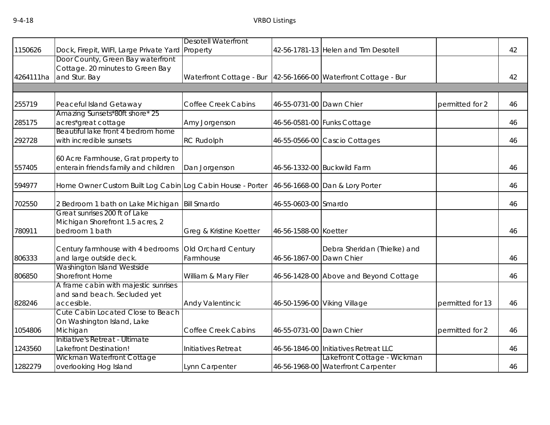|           |                                                            | <b>Desotell Waterfront</b> |                          |                                                                 |                  |    |
|-----------|------------------------------------------------------------|----------------------------|--------------------------|-----------------------------------------------------------------|------------------|----|
| 1150626   | Dock, Firepit, WIFI, Large Private Yard Property           |                            |                          | 42-56-1781-13 Helen and Tim Desotell                            |                  | 42 |
|           | Door County, Green Bay waterfront                          |                            |                          |                                                                 |                  |    |
|           | Cottage. 20 minutes to Green Bay                           |                            |                          |                                                                 |                  |    |
| 4264111ha | and Stur. Bay                                              |                            |                          | Waterfront Cottage - Bur 42-56-1666-00 Waterfront Cottage - Bur |                  | 42 |
|           |                                                            |                            |                          |                                                                 |                  |    |
| 255719    | Peaceful Island Getaway                                    | <b>Coffee Creek Cabins</b> | 46-55-0731-00 Dawn Chier |                                                                 | permitted for 2  | 46 |
| 285175    | Amazing Sunsets*80ft shore* 25<br>acres*great cottage      | Amy Jorgenson              |                          | 46-56-0581-00 Funks Cottage                                     |                  | 46 |
|           | Beautiful lake front 4 bedrom home                         |                            |                          |                                                                 |                  |    |
| 292728    | with incredible sunsets                                    | <b>RC Rudolph</b>          |                          | 46-55-0566-00 Cascio Cottages                                   |                  | 46 |
|           | 60 Acre Farmhouse, Grat property to                        |                            |                          |                                                                 |                  |    |
| 557405    | enterain friends family and children                       | Dan Jorgenson              |                          | 46-56-1332-00 Buckwild Farm                                     |                  | 46 |
| 594977    | Home Owner Custom Built Log Cabin Log Cabin House - Porter |                            |                          | 46-56-1668-00 Dan & Lory Porter                                 |                  | 46 |
| 702550    | 2 Bedroom 1 bath on Lake Michigan   Bill Smardo            |                            | 46-55-0603-00 Smardo     |                                                                 |                  | 46 |
|           | Great sunrises 200 ft of Lake                              |                            |                          |                                                                 |                  |    |
|           | Michigan Shorefront 1.5 acres, 2                           |                            |                          |                                                                 |                  |    |
| 780911    | bedroom 1 bath                                             | Greg & Kristine Koetter    | 46-56-1588-00 Koetter    |                                                                 |                  | 46 |
|           | Century farmhouse with 4 bedrooms                          | Old Orchard Century        |                          | Debra Sheridan (Thielke) and                                    |                  |    |
| 806333    | and large outside deck.                                    | Farmhouse                  | 46-56-1867-00 Dawn Chier |                                                                 |                  | 46 |
|           | Washington Island Westside                                 |                            |                          |                                                                 |                  |    |
| 806850    | <b>Shorefront Home</b>                                     | William & Mary Filer       |                          | 46-56-1428-00 Above and Beyond Cottage                          |                  | 46 |
|           | A frame cabin with majestic sunrises                       |                            |                          |                                                                 |                  |    |
|           | and sand beach. Secluded yet                               |                            |                          |                                                                 |                  |    |
| 828246    | accesible.                                                 | Andy Valentincic           |                          | 46-50-1596-00 Viking Village                                    | permitted for 13 | 46 |
|           | Cute Cabin Located Close to Beach                          |                            |                          |                                                                 |                  |    |
|           | On Washington Island, Lake                                 |                            |                          |                                                                 |                  |    |
| 1054806   | Michigan                                                   | <b>Coffee Creek Cabins</b> | 46-55-0731-00 Dawn Chier |                                                                 | permitted for 2  | 46 |
| 1243560   | Initiative's Retreat - Ultimate<br>Lakefront Destination!  | Initiatives Retreat        |                          | 46-56-1846-00 Initiatives Retreat LLC                           |                  | 46 |
|           | Wickman Waterfront Cottage                                 |                            |                          | Lakefront Cottage - Wickman                                     |                  |    |
| 1282279   | overlooking Hog Island                                     | Lynn Carpenter             |                          | 46-56-1968-00 Waterfront Carpenter                              |                  | 46 |